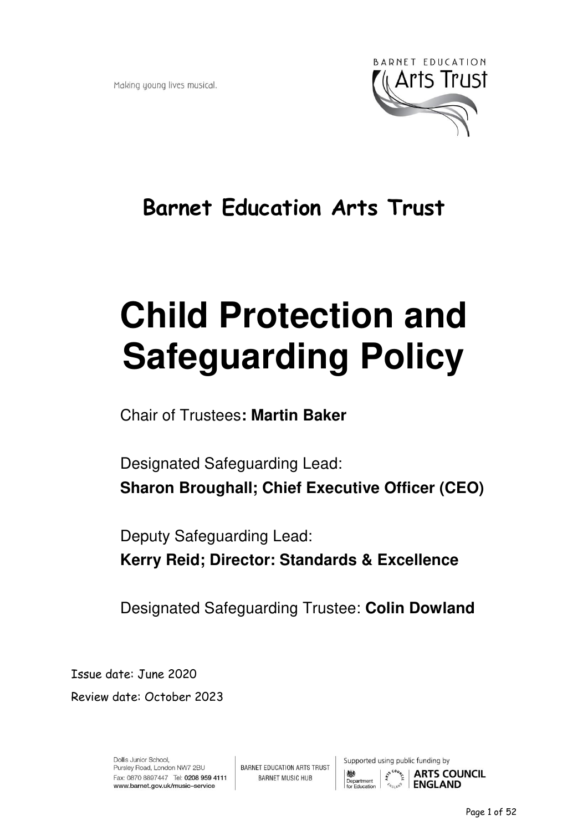Making young lives musical.



## **Barnet Education Arts Trust**

# **Child Protection and Safeguarding Policy**

Chair of Trustees**: Martin Baker** 

Designated Safeguarding Lead: **Sharon Broughall; Chief Executive Officer (CEO)** 

Deputy Safeguarding Lead: **Kerry Reid; Director: Standards & Excellence** 

Designated Safeguarding Trustee: **Colin Dowland** 

Issue date: June 2020 Review date: October 2023

> Dollis Junior School, Pursley Road, London NW7 2BU Fax: 0870 8897447 Tel: 0208 959 4111 www.barnet.gov.uk/music-service

**BARNET EDUCATION ARTS TRUST BARNET MUSIC HUB** 

Supported using public funding by



Page 1 of 52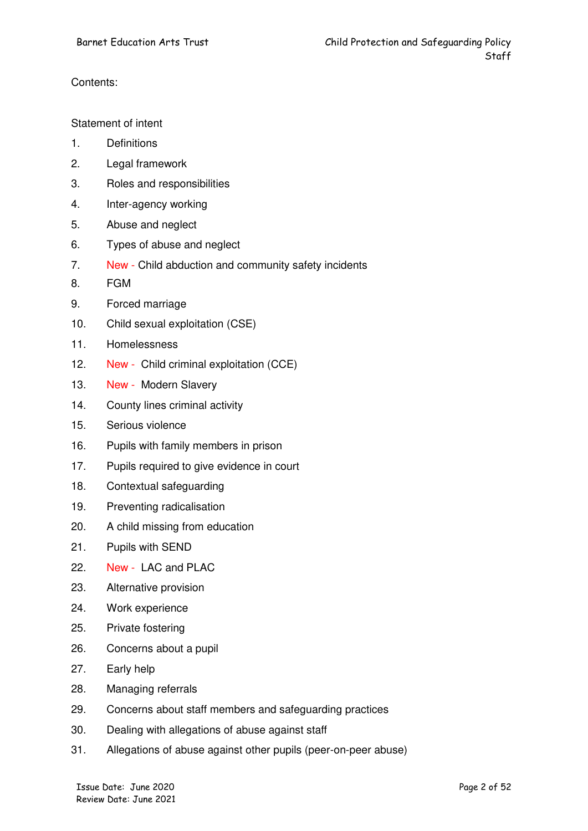#### Contents:

#### Statement of intent

- 1. Definitions
- 2. Legal framework
- 3. Roles and responsibilities
- 4. Inter-agency working
- 5. Abuse and neglect
- 6. Types of abuse and neglect
- 7. New Child abduction and community safety incidents
- 8. FGM
- 9. Forced marriage
- 10. Child sexual exploitation (CSE)
- 11. Homelessness
- 12. New Child criminal exploitation (CCE)
- 13. New Modern Slavery
- 14. County lines criminal activity
- 15. Serious violence
- 16. Pupils with family members in prison
- 17. Pupils required to give evidence in court
- 18. Contextual safeguarding
- 19. Preventing radicalisation
- 20. A child missing from education
- 21. Pupils with SEND
- 22. New LAC and PLAC
- 23. Alternative provision
- 24. Work experience
- 25. Private fostering
- 26. Concerns about a pupil
- 27. Early help
- 28. Managing referrals
- 29. Concerns about staff members and safeguarding practices
- 30. Dealing with allegations of abuse against staff
- 31. Allegations of abuse against other pupils (peer-on-peer abuse)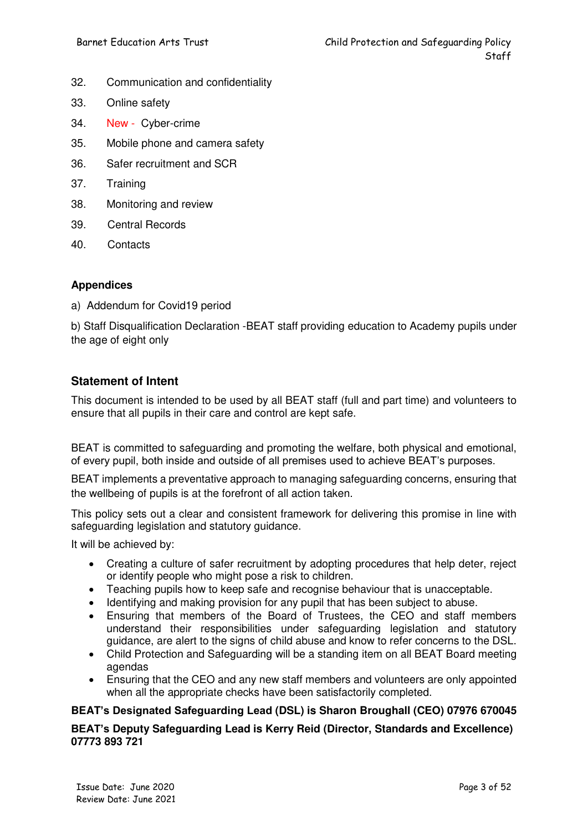- 32. Communication and confidentiality
- 33. Online safety
- 34. New Cyber-crime
- 35. Mobile phone and camera safety
- 36. Safer recruitment and SCR
- 37. Training
- 38. Monitoring and review
- 39. Central Records
- 40. Contacts

#### **Appendices**

a) Addendum for Covid19 period

b) Staff Disqualification Declaration -BEAT staff providing education to Academy pupils under the age of eight only

#### **Statement of Intent**

This document is intended to be used by all BEAT staff (full and part time) and volunteers to ensure that all pupils in their care and control are kept safe.

BEAT is committed to safeguarding and promoting the welfare, both physical and emotional, of every pupil, both inside and outside of all premises used to achieve BEAT's purposes.

BEAT implements a preventative approach to managing safeguarding concerns, ensuring that the wellbeing of pupils is at the forefront of all action taken.

This policy sets out a clear and consistent framework for delivering this promise in line with safeguarding legislation and statutory guidance.

It will be achieved by:

- Creating a culture of safer recruitment by adopting procedures that help deter, reject or identify people who might pose a risk to children.
- Teaching pupils how to keep safe and recognise behaviour that is unacceptable.<br>• Identifying and making provision for any pupil that has been subject to abuse
- Identifying and making provision for any pupil that has been subject to abuse.
- Ensuring that members of the Board of Trustees, the CEO and staff members understand their responsibilities under safeguarding legislation and statutory guidance, are alert to the signs of child abuse and know to refer concerns to the DSL.
- Child Protection and Safeguarding will be a standing item on all BEAT Board meeting agendas
- Ensuring that the CEO and any new staff members and volunteers are only appointed when all the appropriate checks have been satisfactorily completed.

#### **BEAT's Designated Safeguarding Lead (DSL) is Sharon Broughall (CEO) 07976 670045**

#### **BEAT's Deputy Safeguarding Lead is Kerry Reid (Director, Standards and Excellence) 07773 893 721**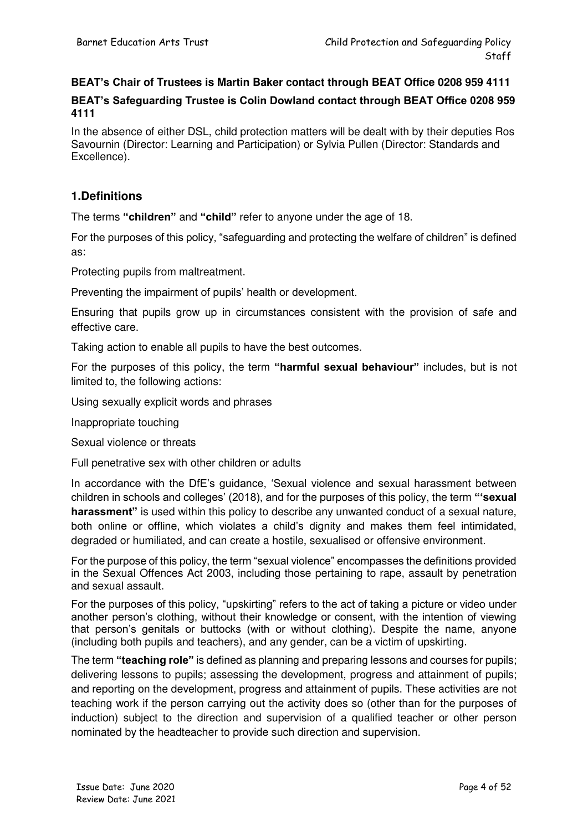#### **BEAT's Chair of Trustees is Martin Baker contact through BEAT Office 0208 959 4111**

#### **BEAT's Safeguarding Trustee is Colin Dowland contact through BEAT Office 0208 959 4111**

In the absence of either DSL, child protection matters will be dealt with by their deputies Ros Savournin (Director: Learning and Participation) or Sylvia Pullen (Director: Standards and Excellence).

#### **1.Definitions**

The terms **"children"** and **"child"** refer to anyone under the age of 18.

For the purposes of this policy, "safeguarding and protecting the welfare of children" is defined as:

Protecting pupils from maltreatment.

Preventing the impairment of pupils' health or development.

Ensuring that pupils grow up in circumstances consistent with the provision of safe and effective care.

Taking action to enable all pupils to have the best outcomes.

For the purposes of this policy, the term **"harmful sexual behaviour"** includes, but is not limited to, the following actions:

Using sexually explicit words and phrases

Inappropriate touching

Sexual violence or threats

Full penetrative sex with other children or adults

In accordance with the DfE's guidance, 'Sexual violence and sexual harassment between children in schools and colleges' (2018), and for the purposes of this policy, the term **"'sexual harassment"** is used within this policy to describe any unwanted conduct of a sexual nature, both online or offline, which violates a child's dignity and makes them feel intimidated, degraded or humiliated, and can create a hostile, sexualised or offensive environment.

For the purpose of this policy, the term "sexual violence" encompasses the definitions provided in the Sexual Offences Act 2003, including those pertaining to rape, assault by penetration and sexual assault.

For the purposes of this policy, "upskirting" refers to the act of taking a picture or video under another person's clothing, without their knowledge or consent, with the intention of viewing that person's genitals or buttocks (with or without clothing). Despite the name, anyone (including both pupils and teachers), and any gender, can be a victim of upskirting.

The term **"teaching role"** is defined as planning and preparing lessons and courses for pupils; delivering lessons to pupils; assessing the development, progress and attainment of pupils; and reporting on the development, progress and attainment of pupils. These activities are not teaching work if the person carrying out the activity does so (other than for the purposes of induction) subject to the direction and supervision of a qualified teacher or other person nominated by the headteacher to provide such direction and supervision.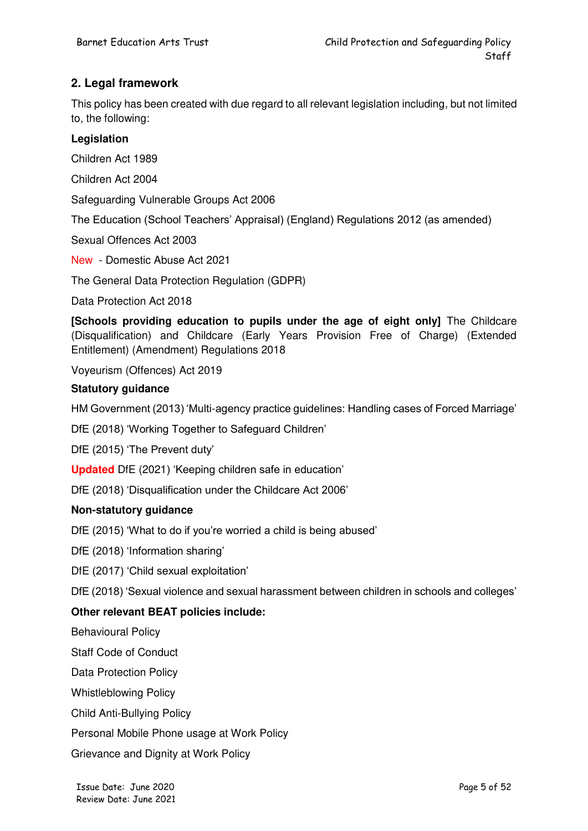#### **2. Legal framework**

This policy has been created with due regard to all relevant legislation including, but not limited to, the following:

#### **Legislation**

Children Act 1989

Children Act 2004

Safeguarding Vulnerable Groups Act 2006

The Education (School Teachers' Appraisal) (England) Regulations 2012 (as amended)

Sexual Offences Act 2003

New - Domestic Abuse Act 2021

The General Data Protection Regulation (GDPR)

Data Protection Act 2018

**[Schools providing education to pupils under the age of eight only]** The Childcare (Disqualification) and Childcare (Early Years Provision Free of Charge) (Extended Entitlement) (Amendment) Regulations 2018

Voyeurism (Offences) Act 2019

#### **Statutory guidance**

HM Government (2013) 'Multi-agency practice guidelines: Handling cases of Forced Marriage'

DfE (2018) 'Working Together to Safeguard Children'

DfE (2015) 'The Prevent duty'

**Updated** DfE (2021) 'Keeping children safe in education'

DfE (2018) 'Disqualification under the Childcare Act 2006'

#### **Non-statutory guidance**

DfE (2015) 'What to do if you're worried a child is being abused'

DfE (2018) 'Information sharing'

DfE (2017) 'Child sexual exploitation'

DfE (2018) 'Sexual violence and sexual harassment between children in schools and colleges'

#### **Other relevant BEAT policies include:**

Behavioural Policy

Staff Code of Conduct

Data Protection Policy

Whistleblowing Policy

Child Anti-Bullying Policy

Personal Mobile Phone usage at Work Policy

Grievance and Dignity at Work Policy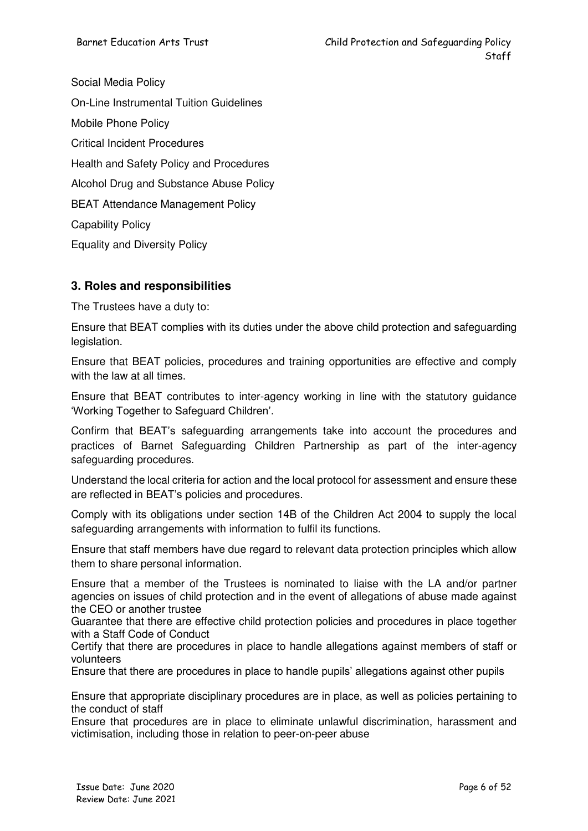Social Media Policy On-Line Instrumental Tuition Guidelines Mobile Phone Policy Critical Incident Procedures Health and Safety Policy and Procedures Alcohol Drug and Substance Abuse Policy BEAT Attendance Management Policy Capability Policy Equality and Diversity Policy

#### **3. Roles and responsibilities**

The Trustees have a duty to:

Ensure that BEAT complies with its duties under the above child protection and safeguarding legislation.

Ensure that BEAT policies, procedures and training opportunities are effective and comply with the law at all times.

Ensure that BEAT contributes to inter-agency working in line with the statutory guidance 'Working Together to Safeguard Children'.

Confirm that BEAT's safeguarding arrangements take into account the procedures and practices of Barnet Safeguarding Children Partnership as part of the inter-agency safeguarding procedures.

Understand the local criteria for action and the local protocol for assessment and ensure these are reflected in BEAT's policies and procedures.

Comply with its obligations under section 14B of the Children Act 2004 to supply the local safeguarding arrangements with information to fulfil its functions.

Ensure that staff members have due regard to relevant data protection principles which allow them to share personal information.

Ensure that a member of the Trustees is nominated to liaise with the LA and/or partner agencies on issues of child protection and in the event of allegations of abuse made against the CEO or another trustee

Guarantee that there are effective child protection policies and procedures in place together with a Staff Code of Conduct

Certify that there are procedures in place to handle allegations against members of staff or volunteers

Ensure that there are procedures in place to handle pupils' allegations against other pupils

Ensure that appropriate disciplinary procedures are in place, as well as policies pertaining to the conduct of staff

Ensure that procedures are in place to eliminate unlawful discrimination, harassment and victimisation, including those in relation to peer-on-peer abuse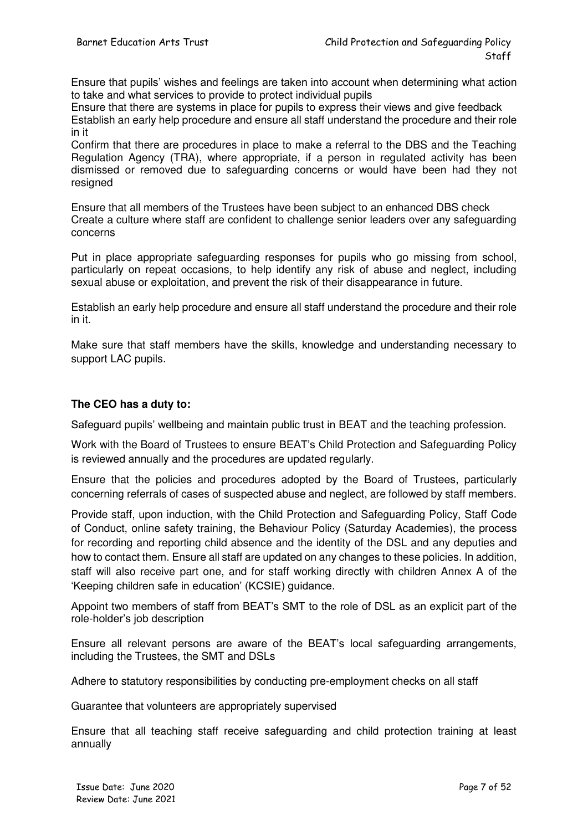Ensure that pupils' wishes and feelings are taken into account when determining what action to take and what services to provide to protect individual pupils

Ensure that there are systems in place for pupils to express their views and give feedback Establish an early help procedure and ensure all staff understand the procedure and their role in it

Confirm that there are procedures in place to make a referral to the DBS and the Teaching Regulation Agency (TRA), where appropriate, if a person in regulated activity has been dismissed or removed due to safeguarding concerns or would have been had they not resigned

Ensure that all members of the Trustees have been subject to an enhanced DBS check Create a culture where staff are confident to challenge senior leaders over any safeguarding concerns

Put in place appropriate safeguarding responses for pupils who go missing from school, particularly on repeat occasions, to help identify any risk of abuse and neglect, including sexual abuse or exploitation, and prevent the risk of their disappearance in future.

Establish an early help procedure and ensure all staff understand the procedure and their role in it.

Make sure that staff members have the skills, knowledge and understanding necessary to support LAC pupils.

#### **The CEO has a duty to:**

Safeguard pupils' wellbeing and maintain public trust in BEAT and the teaching profession.

Work with the Board of Trustees to ensure BEAT's Child Protection and Safeguarding Policy is reviewed annually and the procedures are updated regularly.

Ensure that the policies and procedures adopted by the Board of Trustees, particularly concerning referrals of cases of suspected abuse and neglect, are followed by staff members.

Provide staff, upon induction, with the Child Protection and Safeguarding Policy, Staff Code of Conduct, online safety training, the Behaviour Policy (Saturday Academies), the process for recording and reporting child absence and the identity of the DSL and any deputies and how to contact them. Ensure all staff are updated on any changes to these policies. In addition, staff will also receive part one, and for staff working directly with children Annex A of the 'Keeping children safe in education' (KCSIE) guidance.

Appoint two members of staff from BEAT's SMT to the role of DSL as an explicit part of the role-holder's job description

Ensure all relevant persons are aware of the BEAT's local safeguarding arrangements, including the Trustees, the SMT and DSLs

Adhere to statutory responsibilities by conducting pre-employment checks on all staff

Guarantee that volunteers are appropriately supervised

Ensure that all teaching staff receive safeguarding and child protection training at least annually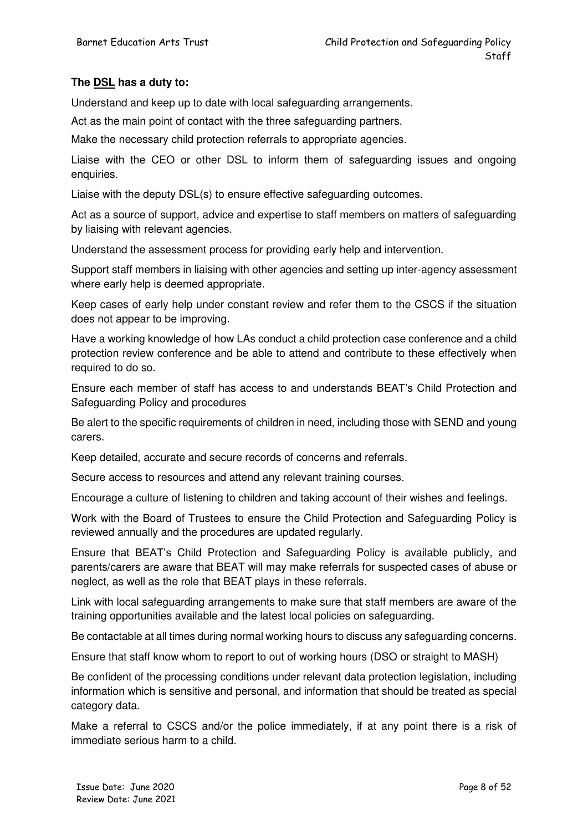#### **The DSL has a duty to:**

Understand and keep up to date with local safeguarding arrangements.

Act as the main point of contact with the three safeguarding partners.

Make the necessary child protection referrals to appropriate agencies.

Liaise with the CEO or other DSL to inform them of safeguarding issues and ongoing enquiries.

Liaise with the deputy DSL(s) to ensure effective safeguarding outcomes.

Act as a source of support, advice and expertise to staff members on matters of safeguarding by liaising with relevant agencies.

Understand the assessment process for providing early help and intervention.

Support staff members in liaising with other agencies and setting up inter-agency assessment where early help is deemed appropriate.

Keep cases of early help under constant review and refer them to the CSCS if the situation does not appear to be improving.

Have a working knowledge of how LAs conduct a child protection case conference and a child protection review conference and be able to attend and contribute to these effectively when required to do so.

Ensure each member of staff has access to and understands BEAT's Child Protection and Safeguarding Policy and procedures

Be alert to the specific requirements of children in need, including those with SEND and young carers.

Keep detailed, accurate and secure records of concerns and referrals.

Secure access to resources and attend any relevant training courses.

Encourage a culture of listening to children and taking account of their wishes and feelings.

Work with the Board of Trustees to ensure the Child Protection and Safeguarding Policy is reviewed annually and the procedures are updated regularly.

Ensure that BEAT's Child Protection and Safeguarding Policy is available publicly, and parents/carers are aware that BEAT will may make referrals for suspected cases of abuse or neglect, as well as the role that BEAT plays in these referrals.

Link with local safeguarding arrangements to make sure that staff members are aware of the training opportunities available and the latest local policies on safeguarding.

Be contactable at all times during normal working hours to discuss any safeguarding concerns.

Ensure that staff know whom to report to out of working hours (DSO or straight to MASH)

Be confident of the processing conditions under relevant data protection legislation, including information which is sensitive and personal, and information that should be treated as special category data.

Make a referral to CSCS and/or the police immediately, if at any point there is a risk of immediate serious harm to a child.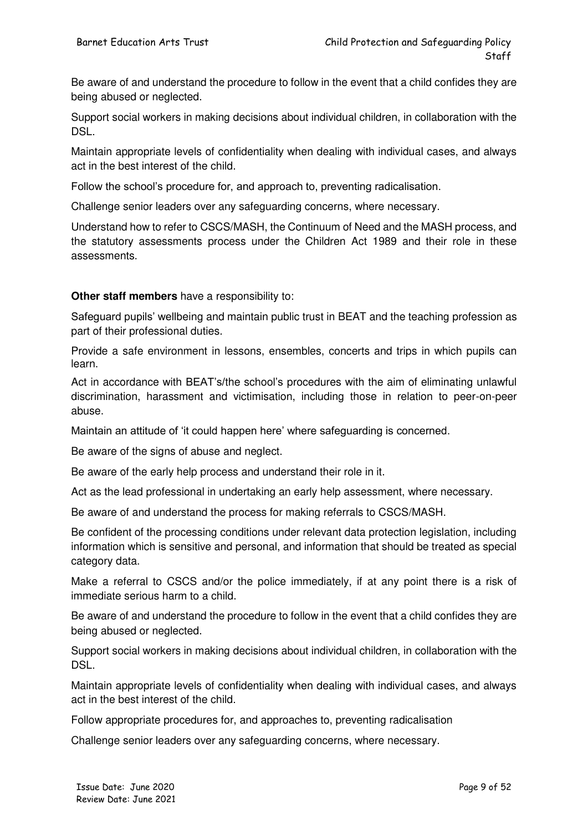Be aware of and understand the procedure to follow in the event that a child confides they are being abused or neglected.

Support social workers in making decisions about individual children, in collaboration with the DSL.

Maintain appropriate levels of confidentiality when dealing with individual cases, and always act in the best interest of the child.

Follow the school's procedure for, and approach to, preventing radicalisation.

Challenge senior leaders over any safeguarding concerns, where necessary.

Understand how to refer to CSCS/MASH, the Continuum of Need and the MASH process, and the statutory assessments process under the Children Act 1989 and their role in these assessments.

#### **Other staff members** have a responsibility to:

Safeguard pupils' wellbeing and maintain public trust in BEAT and the teaching profession as part of their professional duties.

Provide a safe environment in lessons, ensembles, concerts and trips in which pupils can learn.

Act in accordance with BEAT's/the school's procedures with the aim of eliminating unlawful discrimination, harassment and victimisation, including those in relation to peer-on-peer abuse.

Maintain an attitude of 'it could happen here' where safeguarding is concerned.

Be aware of the signs of abuse and neglect.

Be aware of the early help process and understand their role in it.

Act as the lead professional in undertaking an early help assessment, where necessary.

Be aware of and understand the process for making referrals to CSCS/MASH.

Be confident of the processing conditions under relevant data protection legislation, including information which is sensitive and personal, and information that should be treated as special category data.

Make a referral to CSCS and/or the police immediately, if at any point there is a risk of immediate serious harm to a child.

Be aware of and understand the procedure to follow in the event that a child confides they are being abused or neglected.

Support social workers in making decisions about individual children, in collaboration with the DSL.

Maintain appropriate levels of confidentiality when dealing with individual cases, and always act in the best interest of the child.

Follow appropriate procedures for, and approaches to, preventing radicalisation

Challenge senior leaders over any safeguarding concerns, where necessary.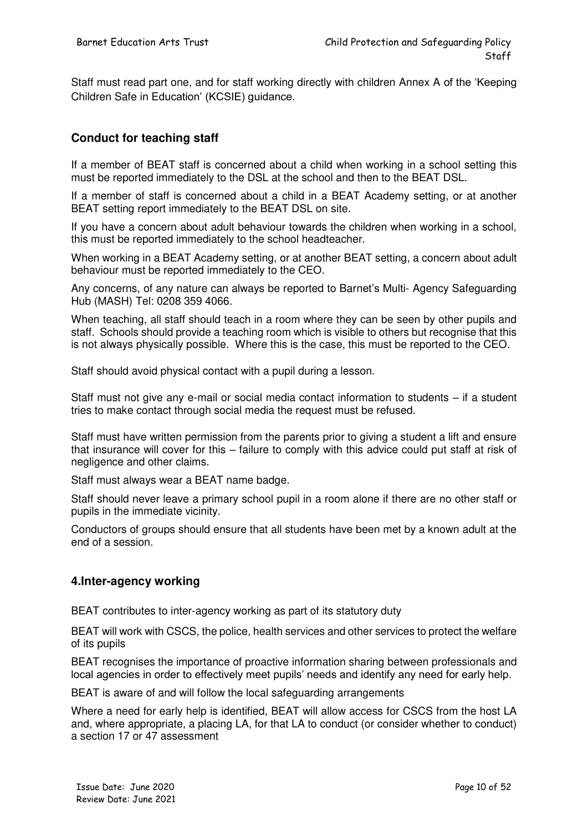Staff must read part one, and for staff working directly with children Annex A of the 'Keeping Children Safe in Education' (KCSIE) guidance.

#### **Conduct for teaching staff**

If a member of BEAT staff is concerned about a child when working in a school setting this must be reported immediately to the DSL at the school and then to the BEAT DSL.

If a member of staff is concerned about a child in a BEAT Academy setting, or at another BEAT setting report immediately to the BEAT DSL on site.

If you have a concern about adult behaviour towards the children when working in a school, this must be reported immediately to the school headteacher.

When working in a BEAT Academy setting, or at another BEAT setting, a concern about adult behaviour must be reported immediately to the CEO.

Any concerns, of any nature can always be reported to Barnet's Multi- Agency Safeguarding Hub (MASH) Tel: 0208 359 4066.

When teaching, all staff should teach in a room where they can be seen by other pupils and staff. Schools should provide a teaching room which is visible to others but recognise that this is not always physically possible. Where this is the case, this must be reported to the CEO.

Staff should avoid physical contact with a pupil during a lesson.

Staff must not give any e-mail or social media contact information to students – if a student tries to make contact through social media the request must be refused.

Staff must have written permission from the parents prior to giving a student a lift and ensure that insurance will cover for this – failure to comply with this advice could put staff at risk of negligence and other claims.

Staff must always wear a BEAT name badge.

Staff should never leave a primary school pupil in a room alone if there are no other staff or pupils in the immediate vicinity.

Conductors of groups should ensure that all students have been met by a known adult at the end of a session.

#### **4.Inter-agency working**

BEAT contributes to inter-agency working as part of its statutory duty

BEAT will work with CSCS, the police, health services and other services to protect the welfare of its pupils

BEAT recognises the importance of proactive information sharing between professionals and local agencies in order to effectively meet pupils' needs and identify any need for early help.

BEAT is aware of and will follow the local safeguarding arrangements

Where a need for early help is identified, BEAT will allow access for CSCS from the host LA and, where appropriate, a placing LA, for that LA to conduct (or consider whether to conduct) a section 17 or 47 assessment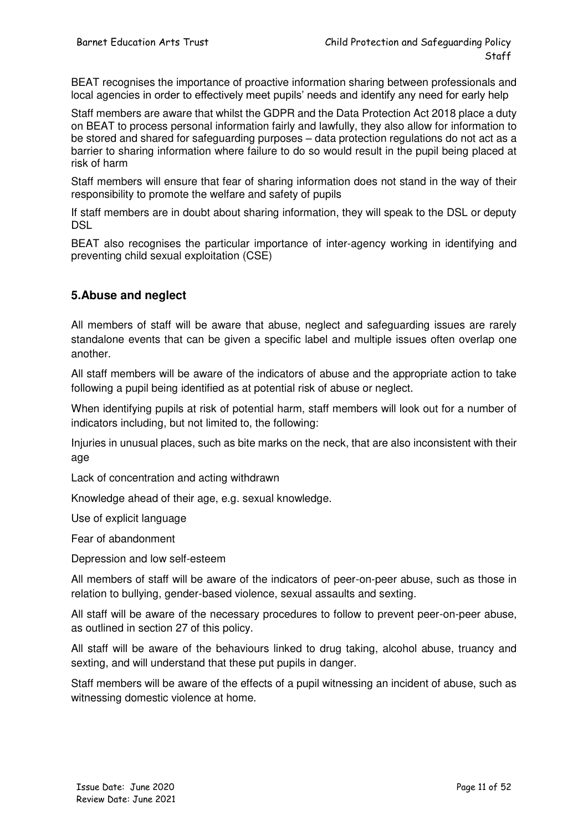BEAT recognises the importance of proactive information sharing between professionals and local agencies in order to effectively meet pupils' needs and identify any need for early help

Staff members are aware that whilst the GDPR and the Data Protection Act 2018 place a duty on BEAT to process personal information fairly and lawfully, they also allow for information to be stored and shared for safeguarding purposes – data protection regulations do not act as a barrier to sharing information where failure to do so would result in the pupil being placed at risk of harm

Staff members will ensure that fear of sharing information does not stand in the way of their responsibility to promote the welfare and safety of pupils

If staff members are in doubt about sharing information, they will speak to the DSL or deputy **DSL** 

BEAT also recognises the particular importance of inter-agency working in identifying and preventing child sexual exploitation (CSE)

#### **5.Abuse and neglect**

All members of staff will be aware that abuse, neglect and safeguarding issues are rarely standalone events that can be given a specific label and multiple issues often overlap one another.

All staff members will be aware of the indicators of abuse and the appropriate action to take following a pupil being identified as at potential risk of abuse or neglect.

When identifying pupils at risk of potential harm, staff members will look out for a number of indicators including, but not limited to, the following:

Injuries in unusual places, such as bite marks on the neck, that are also inconsistent with their age

Lack of concentration and acting withdrawn

Knowledge ahead of their age, e.g. sexual knowledge.

Use of explicit language

Fear of abandonment

Depression and low self-esteem

All members of staff will be aware of the indicators of peer-on-peer abuse, such as those in relation to bullying, gender-based violence, sexual assaults and sexting.

All staff will be aware of the necessary procedures to follow to prevent peer-on-peer abuse, as outlined in section 27 of this policy.

All staff will be aware of the behaviours linked to drug taking, alcohol abuse, truancy and sexting, and will understand that these put pupils in danger.

Staff members will be aware of the effects of a pupil witnessing an incident of abuse, such as witnessing domestic violence at home.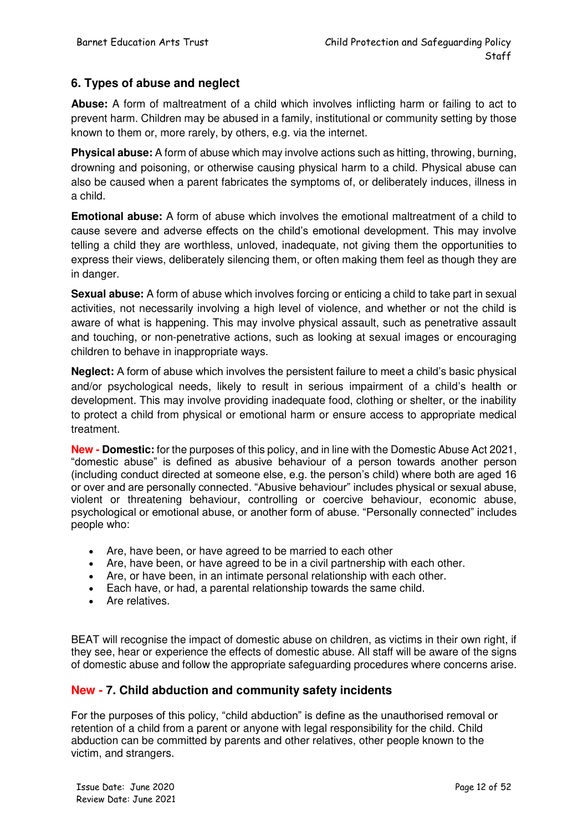#### **6. Types of abuse and neglect**

**Abuse:** A form of maltreatment of a child which involves inflicting harm or failing to act to prevent harm. Children may be abused in a family, institutional or community setting by those known to them or, more rarely, by others, e.g. via the internet.

**Physical abuse:** A form of abuse which may involve actions such as hitting, throwing, burning, drowning and poisoning, or otherwise causing physical harm to a child. Physical abuse can also be caused when a parent fabricates the symptoms of, or deliberately induces, illness in a child.

**Emotional abuse:** A form of abuse which involves the emotional maltreatment of a child to cause severe and adverse effects on the child's emotional development. This may involve telling a child they are worthless, unloved, inadequate, not giving them the opportunities to express their views, deliberately silencing them, or often making them feel as though they are in danger.

**Sexual abuse:** A form of abuse which involves forcing or enticing a child to take part in sexual activities, not necessarily involving a high level of violence, and whether or not the child is aware of what is happening. This may involve physical assault, such as penetrative assault and touching, or non-penetrative actions, such as looking at sexual images or encouraging children to behave in inappropriate ways.

**Neglect:** A form of abuse which involves the persistent failure to meet a child's basic physical and/or psychological needs, likely to result in serious impairment of a child's health or development. This may involve providing inadequate food, clothing or shelter, or the inability to protect a child from physical or emotional harm or ensure access to appropriate medical treatment.

**New - Domestic:** for the purposes of this policy, and in line with the Domestic Abuse Act 2021, "domestic abuse" is defined as abusive behaviour of a person towards another person (including conduct directed at someone else, e.g. the person's child) where both are aged 16 or over and are personally connected. "Abusive behaviour" includes physical or sexual abuse, violent or threatening behaviour, controlling or coercive behaviour, economic abuse, psychological or emotional abuse, or another form of abuse. "Personally connected" includes people who:

- Are, have been, or have agreed to be married to each other
- Are, have been, or have agreed to be in a civil partnership with each other.
- Are, or have been, in an intimate personal relationship with each other.
- Each have, or had, a parental relationship towards the same child.
- Are relatives.

BEAT will recognise the impact of domestic abuse on children, as victims in their own right, if they see, hear or experience the effects of domestic abuse. All staff will be aware of the signs of domestic abuse and follow the appropriate safeguarding procedures where concerns arise.

#### **New - 7. Child abduction and community safety incidents**

For the purposes of this policy, "child abduction" is define as the unauthorised removal or retention of a child from a parent or anyone with legal responsibility for the child. Child abduction can be committed by parents and other relatives, other people known to the victim, and strangers.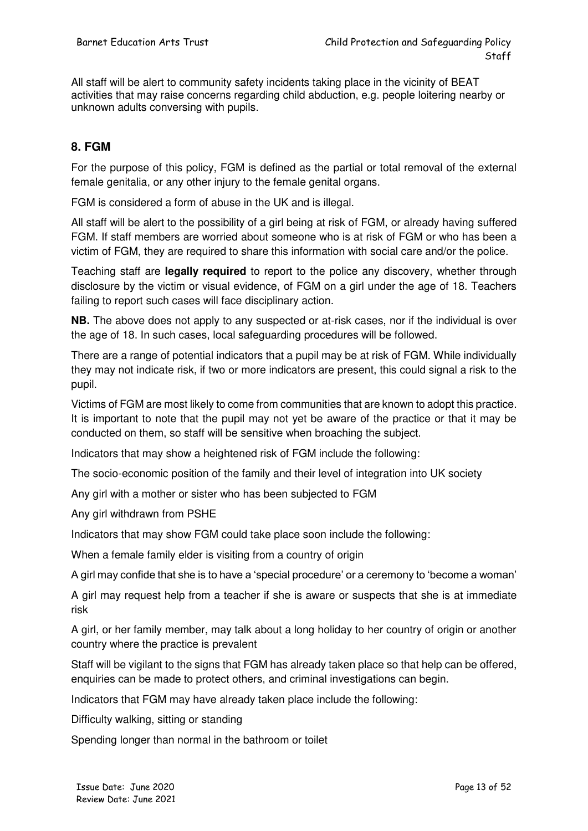All staff will be alert to community safety incidents taking place in the vicinity of BEAT activities that may raise concerns regarding child abduction, e.g. people loitering nearby or unknown adults conversing with pupils.

#### **8. FGM**

For the purpose of this policy, FGM is defined as the partial or total removal of the external female genitalia, or any other injury to the female genital organs.

FGM is considered a form of abuse in the UK and is illegal.

All staff will be alert to the possibility of a girl being at risk of FGM, or already having suffered FGM. If staff members are worried about someone who is at risk of FGM or who has been a victim of FGM, they are required to share this information with social care and/or the police.

Teaching staff are **legally required** to report to the police any discovery, whether through disclosure by the victim or visual evidence, of FGM on a girl under the age of 18. Teachers failing to report such cases will face disciplinary action.

**NB.** The above does not apply to any suspected or at-risk cases, nor if the individual is over the age of 18. In such cases, local safeguarding procedures will be followed.

There are a range of potential indicators that a pupil may be at risk of FGM. While individually they may not indicate risk, if two or more indicators are present, this could signal a risk to the pupil.

Victims of FGM are most likely to come from communities that are known to adopt this practice. It is important to note that the pupil may not yet be aware of the practice or that it may be conducted on them, so staff will be sensitive when broaching the subject.

Indicators that may show a heightened risk of FGM include the following:

The socio-economic position of the family and their level of integration into UK society

Any girl with a mother or sister who has been subjected to FGM

Any girl withdrawn from PSHE

Indicators that may show FGM could take place soon include the following:

When a female family elder is visiting from a country of origin

A girl may confide that she is to have a 'special procedure' or a ceremony to 'become a woman'

A girl may request help from a teacher if she is aware or suspects that she is at immediate risk

A girl, or her family member, may talk about a long holiday to her country of origin or another country where the practice is prevalent

Staff will be vigilant to the signs that FGM has already taken place so that help can be offered, enquiries can be made to protect others, and criminal investigations can begin.

Indicators that FGM may have already taken place include the following:

Difficulty walking, sitting or standing

Spending longer than normal in the bathroom or toilet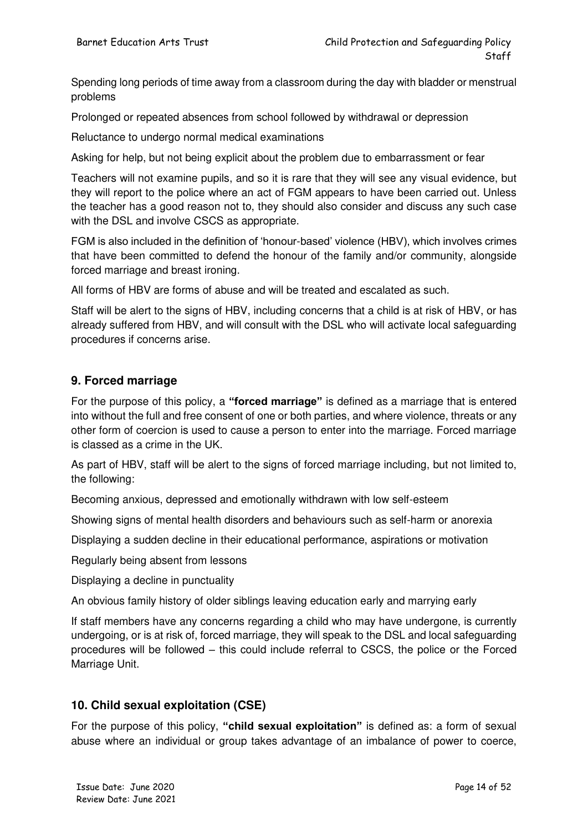Spending long periods of time away from a classroom during the day with bladder or menstrual problems

Prolonged or repeated absences from school followed by withdrawal or depression

Reluctance to undergo normal medical examinations

Asking for help, but not being explicit about the problem due to embarrassment or fear

Teachers will not examine pupils, and so it is rare that they will see any visual evidence, but they will report to the police where an act of FGM appears to have been carried out. Unless the teacher has a good reason not to, they should also consider and discuss any such case with the DSL and involve CSCS as appropriate.

FGM is also included in the definition of 'honour-based' violence (HBV), which involves crimes that have been committed to defend the honour of the family and/or community, alongside forced marriage and breast ironing.

All forms of HBV are forms of abuse and will be treated and escalated as such.

Staff will be alert to the signs of HBV, including concerns that a child is at risk of HBV, or has already suffered from HBV, and will consult with the DSL who will activate local safeguarding procedures if concerns arise.

#### **9. Forced marriage**

For the purpose of this policy, a **"forced marriage"** is defined as a marriage that is entered into without the full and free consent of one or both parties, and where violence, threats or any other form of coercion is used to cause a person to enter into the marriage. Forced marriage is classed as a crime in the UK.

As part of HBV, staff will be alert to the signs of forced marriage including, but not limited to, the following:

Becoming anxious, depressed and emotionally withdrawn with low self-esteem

Showing signs of mental health disorders and behaviours such as self-harm or anorexia

Displaying a sudden decline in their educational performance, aspirations or motivation

Regularly being absent from lessons

Displaying a decline in punctuality

An obvious family history of older siblings leaving education early and marrying early

If staff members have any concerns regarding a child who may have undergone, is currently undergoing, or is at risk of, forced marriage, they will speak to the DSL and local safeguarding procedures will be followed – this could include referral to CSCS, the police or the Forced Marriage Unit.

#### **10. Child sexual exploitation (CSE)**

For the purpose of this policy, **"child sexual exploitation"** is defined as: a form of sexual abuse where an individual or group takes advantage of an imbalance of power to coerce,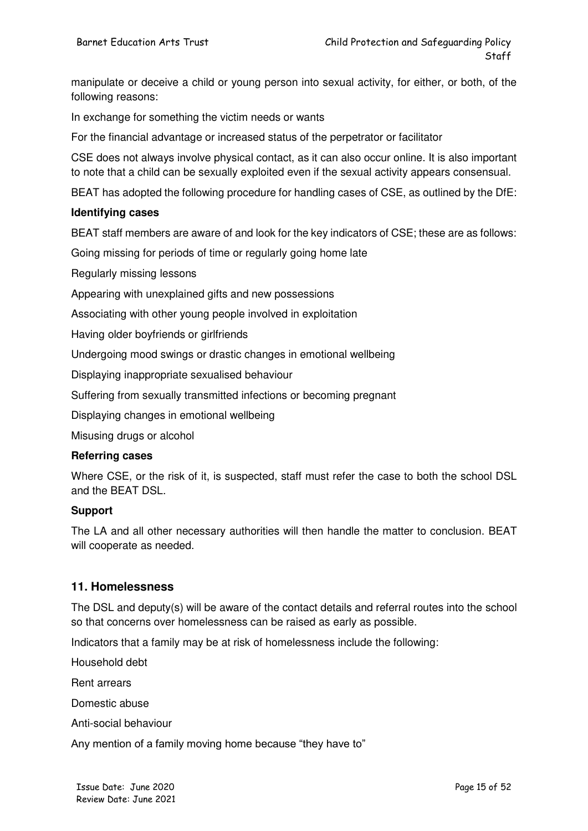manipulate or deceive a child or young person into sexual activity, for either, or both, of the following reasons:

In exchange for something the victim needs or wants

For the financial advantage or increased status of the perpetrator or facilitator

CSE does not always involve physical contact, as it can also occur online. It is also important to note that a child can be sexually exploited even if the sexual activity appears consensual.

BEAT has adopted the following procedure for handling cases of CSE, as outlined by the DfE:

#### **Identifying cases**

BEAT staff members are aware of and look for the key indicators of CSE; these are as follows:

Going missing for periods of time or regularly going home late

Regularly missing lessons

Appearing with unexplained gifts and new possessions

Associating with other young people involved in exploitation

Having older boyfriends or girlfriends

Undergoing mood swings or drastic changes in emotional wellbeing

Displaying inappropriate sexualised behaviour

Suffering from sexually transmitted infections or becoming pregnant

Displaying changes in emotional wellbeing

Misusing drugs or alcohol

#### **Referring cases**

Where CSE, or the risk of it, is suspected, staff must refer the case to both the school DSL and the BEAT DSL.

#### **Support**

The LA and all other necessary authorities will then handle the matter to conclusion. BEAT will cooperate as needed.

#### **11. Homelessness**

The DSL and deputy(s) will be aware of the contact details and referral routes into the school so that concerns over homelessness can be raised as early as possible.

Indicators that a family may be at risk of homelessness include the following:

Household debt

Rent arrears

Domestic abuse

Anti-social behaviour

Any mention of a family moving home because "they have to"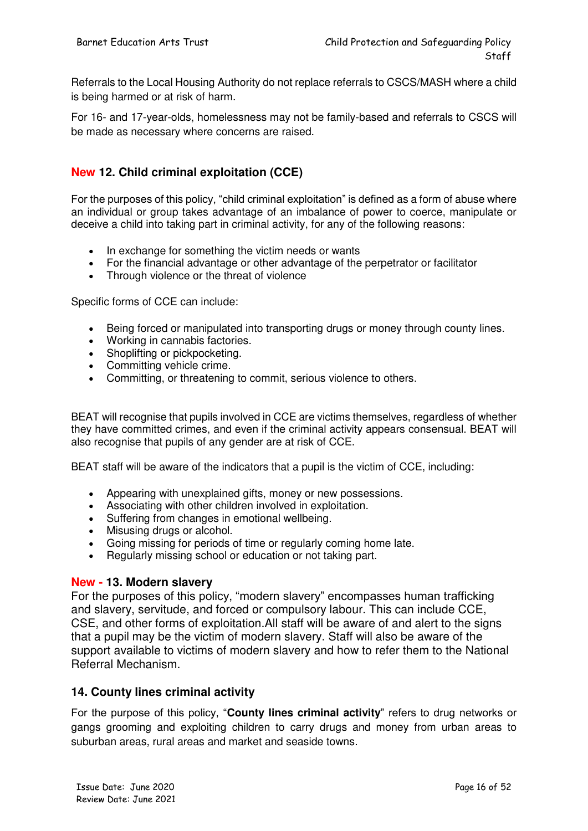Referrals to the Local Housing Authority do not replace referrals to CSCS/MASH where a child is being harmed or at risk of harm.

For 16- and 17-year-olds, homelessness may not be family-based and referrals to CSCS will be made as necessary where concerns are raised.

#### **New 12. Child criminal exploitation (CCE)**

For the purposes of this policy, "child criminal exploitation" is defined as a form of abuse where an individual or group takes advantage of an imbalance of power to coerce, manipulate or deceive a child into taking part in criminal activity, for any of the following reasons:

- In exchange for something the victim needs or wants
- For the financial advantage or other advantage of the perpetrator or facilitator
- Through violence or the threat of violence

Specific forms of CCE can include:

- Being forced or manipulated into transporting drugs or money through county lines.
- Working in cannabis factories.
- Shoplifting or pickpocketing.
- Committing vehicle crime.
- Committing, or threatening to commit, serious violence to others.

BEAT will recognise that pupils involved in CCE are victims themselves, regardless of whether they have committed crimes, and even if the criminal activity appears consensual. BEAT will also recognise that pupils of any gender are at risk of CCE.

BEAT staff will be aware of the indicators that a pupil is the victim of CCE, including:

- Appearing with unexplained gifts, money or new possessions.
- Associating with other children involved in exploitation.
- Suffering from changes in emotional wellbeing.
- Misusing drugs or alcohol.
- Going missing for periods of time or regularly coming home late.
- Regularly missing school or education or not taking part.

#### **New - 13. Modern slavery**

For the purposes of this policy, "modern slavery" encompasses human trafficking and slavery, servitude, and forced or compulsory labour. This can include CCE, CSE, and other forms of exploitation.All staff will be aware of and alert to the signs that a pupil may be the victim of modern slavery. Staff will also be aware of the support available to victims of modern slavery and how to refer them to the National Referral Mechanism.

#### **14. County lines criminal activity**

For the purpose of this policy, "**County lines criminal activity**" refers to drug networks or gangs grooming and exploiting children to carry drugs and money from urban areas to suburban areas, rural areas and market and seaside towns.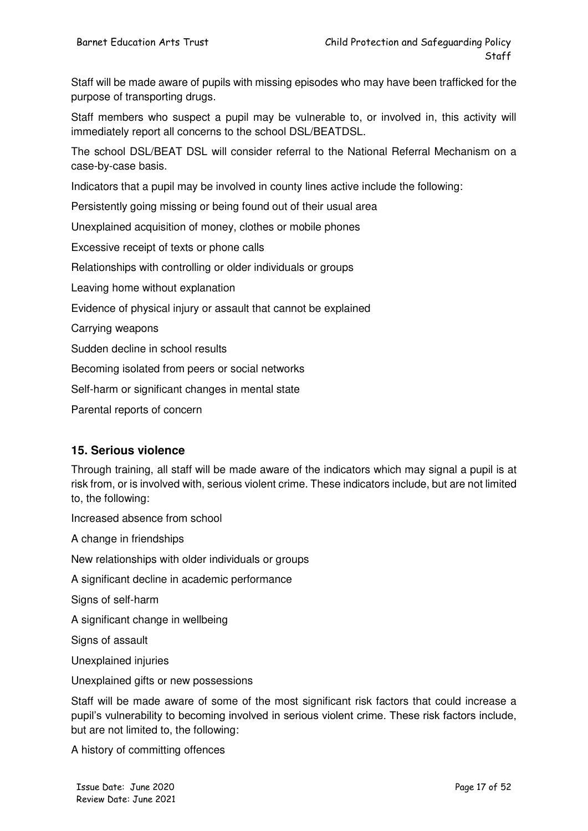Staff will be made aware of pupils with missing episodes who may have been trafficked for the purpose of transporting drugs.

Staff members who suspect a pupil may be vulnerable to, or involved in, this activity will immediately report all concerns to the school DSL/BEATDSL.

The school DSL/BEAT DSL will consider referral to the National Referral Mechanism on a case-by-case basis.

Indicators that a pupil may be involved in county lines active include the following:

Persistently going missing or being found out of their usual area

Unexplained acquisition of money, clothes or mobile phones

Excessive receipt of texts or phone calls

Relationships with controlling or older individuals or groups

Leaving home without explanation

Evidence of physical injury or assault that cannot be explained

Carrying weapons

Sudden decline in school results

Becoming isolated from peers or social networks

Self-harm or significant changes in mental state

Parental reports of concern

#### **15. Serious violence**

Through training, all staff will be made aware of the indicators which may signal a pupil is at risk from, or is involved with, serious violent crime. These indicators include, but are not limited to, the following:

Increased absence from school

A change in friendships

New relationships with older individuals or groups

A significant decline in academic performance

Signs of self-harm

A significant change in wellbeing

Signs of assault

Unexplained injuries

Unexplained gifts or new possessions

Staff will be made aware of some of the most significant risk factors that could increase a pupil's vulnerability to becoming involved in serious violent crime. These risk factors include, but are not limited to, the following:

A history of committing offences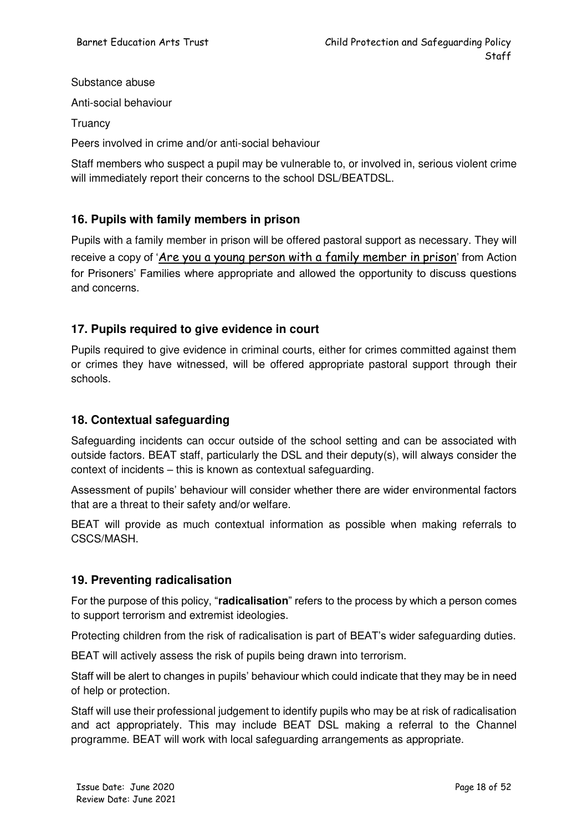Substance abuse

Anti-social behaviour

**Truancy** 

Peers involved in crime and/or anti-social behaviour

Staff members who suspect a pupil may be vulnerable to, or involved in, serious violent crime will immediately report their concerns to the school DSL/BEATDSL.

#### **16. Pupils with family members in prison**

Pupils with a family member in prison will be offered pastoral support as necessary. They will receive a copy of '[Are you a young person with a family member in prison](https://www.nicco.org.uk/directory-of-resources)' from Action for Prisoners' Families where appropriate and allowed the opportunity to discuss questions and concerns.

#### **17. Pupils required to give evidence in court**

Pupils required to give evidence in criminal courts, either for crimes committed against them or crimes they have witnessed, will be offered appropriate pastoral support through their schools.

#### **18. Contextual safeguarding**

Safeguarding incidents can occur outside of the school setting and can be associated with outside factors. BEAT staff, particularly the DSL and their deputy(s), will always consider the context of incidents – this is known as contextual safeguarding.

Assessment of pupils' behaviour will consider whether there are wider environmental factors that are a threat to their safety and/or welfare.

BEAT will provide as much contextual information as possible when making referrals to CSCS/MASH.

#### **19. Preventing radicalisation**

For the purpose of this policy, "**radicalisation**" refers to the process by which a person comes to support terrorism and extremist ideologies.

Protecting children from the risk of radicalisation is part of BEAT's wider safeguarding duties.

BEAT will actively assess the risk of pupils being drawn into terrorism.

Staff will be alert to changes in pupils' behaviour which could indicate that they may be in need of help or protection.

Staff will use their professional judgement to identify pupils who may be at risk of radicalisation and act appropriately. This may include BEAT DSL making a referral to the Channel programme. BEAT will work with local safeguarding arrangements as appropriate.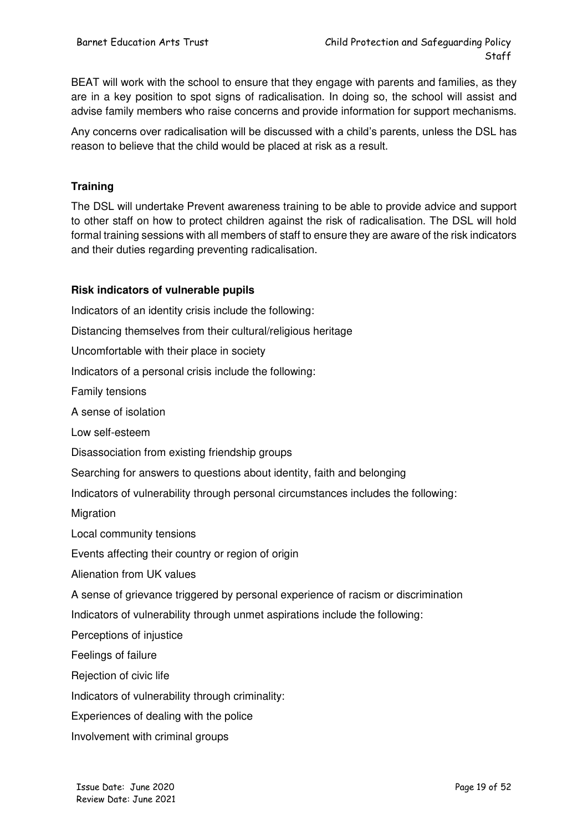BEAT will work with the school to ensure that they engage with parents and families, as they are in a key position to spot signs of radicalisation. In doing so, the school will assist and advise family members who raise concerns and provide information for support mechanisms.

Any concerns over radicalisation will be discussed with a child's parents, unless the DSL has reason to believe that the child would be placed at risk as a result.

#### **Training**

The DSL will undertake Prevent awareness training to be able to provide advice and support to other staff on how to protect children against the risk of radicalisation. The DSL will hold formal training sessions with all members of staff to ensure they are aware of the risk indicators and their duties regarding preventing radicalisation.

#### **Risk indicators of vulnerable pupils**

Indicators of an identity crisis include the following: Distancing themselves from their cultural/religious heritage Uncomfortable with their place in society Indicators of a personal crisis include the following: Family tensions A sense of isolation Low self-esteem Disassociation from existing friendship groups Searching for answers to questions about identity, faith and belonging Indicators of vulnerability through personal circumstances includes the following: **Migration** Local community tensions Events affecting their country or region of origin Alienation from UK values A sense of grievance triggered by personal experience of racism or discrimination Indicators of vulnerability through unmet aspirations include the following: Perceptions of injustice Feelings of failure Rejection of civic life Indicators of vulnerability through criminality: Experiences of dealing with the police Involvement with criminal groups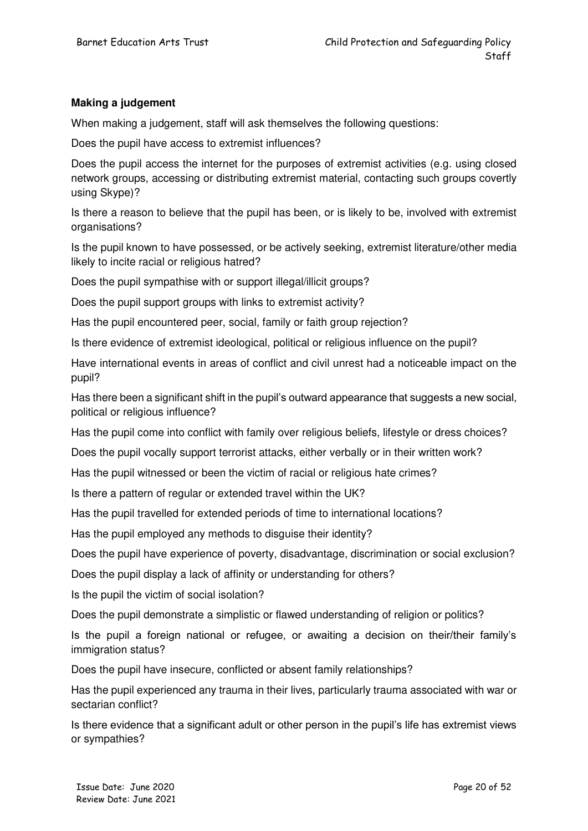#### **Making a judgement**

When making a judgement, staff will ask themselves the following questions:

Does the pupil have access to extremist influences?

Does the pupil access the internet for the purposes of extremist activities (e.g. using closed network groups, accessing or distributing extremist material, contacting such groups covertly using Skype)?

Is there a reason to believe that the pupil has been, or is likely to be, involved with extremist organisations?

Is the pupil known to have possessed, or be actively seeking, extremist literature/other media likely to incite racial or religious hatred?

Does the pupil sympathise with or support illegal/illicit groups?

Does the pupil support groups with links to extremist activity?

Has the pupil encountered peer, social, family or faith group rejection?

Is there evidence of extremist ideological, political or religious influence on the pupil?

Have international events in areas of conflict and civil unrest had a noticeable impact on the pupil?

Has there been a significant shift in the pupil's outward appearance that suggests a new social, political or religious influence?

Has the pupil come into conflict with family over religious beliefs, lifestyle or dress choices?

Does the pupil vocally support terrorist attacks, either verbally or in their written work?

Has the pupil witnessed or been the victim of racial or religious hate crimes?

Is there a pattern of regular or extended travel within the UK?

Has the pupil travelled for extended periods of time to international locations?

Has the pupil employed any methods to disguise their identity?

Does the pupil have experience of poverty, disadvantage, discrimination or social exclusion?

Does the pupil display a lack of affinity or understanding for others?

Is the pupil the victim of social isolation?

Does the pupil demonstrate a simplistic or flawed understanding of religion or politics?

Is the pupil a foreign national or refugee, or awaiting a decision on their/their family's immigration status?

Does the pupil have insecure, conflicted or absent family relationships?

Has the pupil experienced any trauma in their lives, particularly trauma associated with war or sectarian conflict?

Is there evidence that a significant adult or other person in the pupil's life has extremist views or sympathies?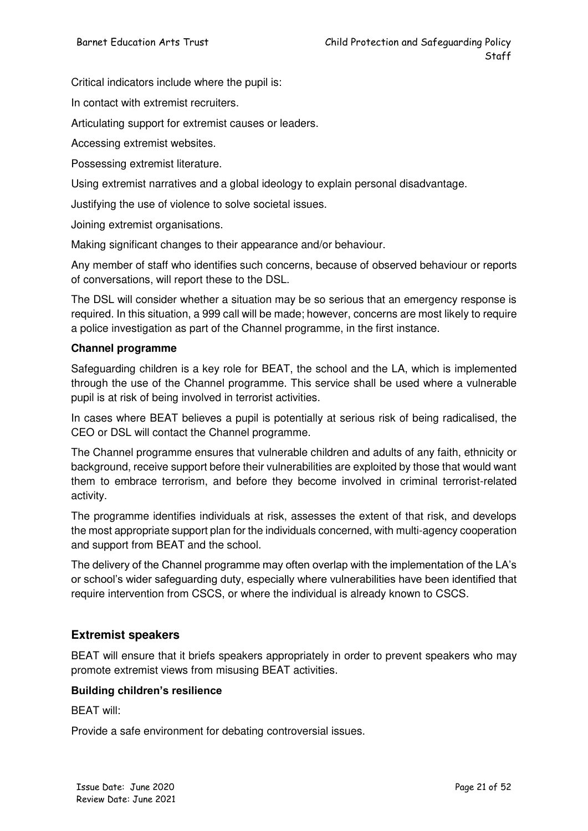Critical indicators include where the pupil is:

In contact with extremist recruiters.

Articulating support for extremist causes or leaders.

Accessing extremist websites.

Possessing extremist literature.

Using extremist narratives and a global ideology to explain personal disadvantage.

Justifying the use of violence to solve societal issues.

Joining extremist organisations.

Making significant changes to their appearance and/or behaviour.

Any member of staff who identifies such concerns, because of observed behaviour or reports of conversations, will report these to the DSL.

The DSL will consider whether a situation may be so serious that an emergency response is required. In this situation, a 999 call will be made; however, concerns are most likely to require a police investigation as part of the Channel programme, in the first instance.

#### **Channel programme**

Safeguarding children is a key role for BEAT, the school and the LA, which is implemented through the use of the Channel programme. This service shall be used where a vulnerable pupil is at risk of being involved in terrorist activities.

In cases where BEAT believes a pupil is potentially at serious risk of being radicalised, the CEO or DSL will contact the Channel programme.

The Channel programme ensures that vulnerable children and adults of any faith, ethnicity or background, receive support before their vulnerabilities are exploited by those that would want them to embrace terrorism, and before they become involved in criminal terrorist-related activity.

The programme identifies individuals at risk, assesses the extent of that risk, and develops the most appropriate support plan for the individuals concerned, with multi-agency cooperation and support from BEAT and the school.

The delivery of the Channel programme may often overlap with the implementation of the LA's or school's wider safeguarding duty, especially where vulnerabilities have been identified that require intervention from CSCS, or where the individual is already known to CSCS.

#### **Extremist speakers**

BEAT will ensure that it briefs speakers appropriately in order to prevent speakers who may promote extremist views from misusing BEAT activities.

#### **Building children's resilience**

BEAT will:

Provide a safe environment for debating controversial issues.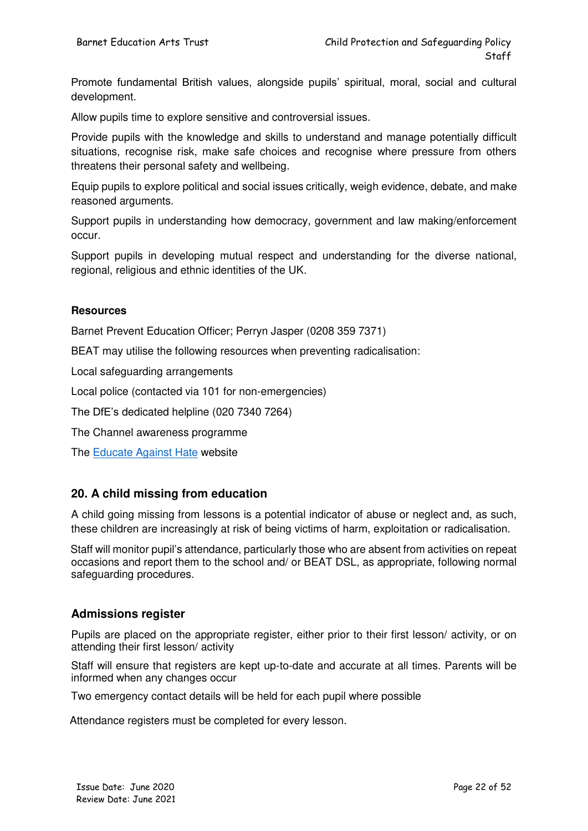Promote fundamental British values, alongside pupils' spiritual, moral, social and cultural development.

Allow pupils time to explore sensitive and controversial issues.

Provide pupils with the knowledge and skills to understand and manage potentially difficult situations, recognise risk, make safe choices and recognise where pressure from others threatens their personal safety and wellbeing.

Equip pupils to explore political and social issues critically, weigh evidence, debate, and make reasoned arguments.

Support pupils in understanding how democracy, government and law making/enforcement occur.

Support pupils in developing mutual respect and understanding for the diverse national, regional, religious and ethnic identities of the UK.

#### **Resources**

Barnet Prevent Education Officer; Perryn Jasper (0208 359 7371)

BEAT may utilise the following resources when preventing radicalisation:

Local safeguarding arrangements

Local police (contacted via 101 for non-emergencies)

The DfE's dedicated helpline (020 7340 7264)

The Channel awareness programme

The [Educate Against Hate](http://educateagainsthate.com/) website

#### **20. A child missing from education**

A child going missing from lessons is a potential indicator of abuse or neglect and, as such, these children are increasingly at risk of being victims of harm, exploitation or radicalisation.

Staff will monitor pupil's attendance, particularly those who are absent from activities on repeat occasions and report them to the school and/ or BEAT DSL, as appropriate, following normal safeguarding procedures.

#### **Admissions register**

Pupils are placed on the appropriate register, either prior to their first lesson/ activity, or on attending their first lesson/ activity

Staff will ensure that registers are kept up-to-date and accurate at all times. Parents will be informed when any changes occur

Two emergency contact details will be held for each pupil where possible

Attendance registers must be completed for every lesson.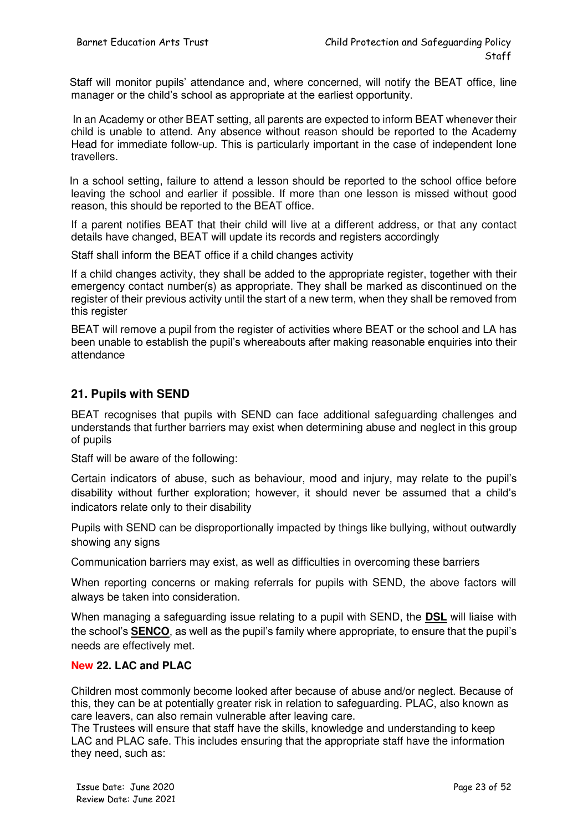Staff will monitor pupils' attendance and, where concerned, will notify the BEAT office, line manager or the child's school as appropriate at the earliest opportunity.

 In an Academy or other BEAT setting, all parents are expected to inform BEAT whenever their child is unable to attend. Any absence without reason should be reported to the Academy Head for immediate follow-up. This is particularly important in the case of independent lone travellers.

 In a school setting, failure to attend a lesson should be reported to the school office before leaving the school and earlier if possible. If more than one lesson is missed without good reason, this should be reported to the BEAT office.

If a parent notifies BEAT that their child will live at a different address, or that any contact details have changed, BEAT will update its records and registers accordingly

Staff shall inform the BEAT office if a child changes activity

If a child changes activity, they shall be added to the appropriate register, together with their emergency contact number(s) as appropriate. They shall be marked as discontinued on the register of their previous activity until the start of a new term, when they shall be removed from this register

BEAT will remove a pupil from the register of activities where BEAT or the school and LA has been unable to establish the pupil's whereabouts after making reasonable enquiries into their attendance

#### **21. Pupils with SEND**

BEAT recognises that pupils with SEND can face additional safeguarding challenges and understands that further barriers may exist when determining abuse and neglect in this group of pupils

Staff will be aware of the following:

Certain indicators of abuse, such as behaviour, mood and injury, may relate to the pupil's disability without further exploration; however, it should never be assumed that a child's indicators relate only to their disability

Pupils with SEND can be disproportionally impacted by things like bullying, without outwardly showing any signs

Communication barriers may exist, as well as difficulties in overcoming these barriers

When reporting concerns or making referrals for pupils with SEND, the above factors will always be taken into consideration.

When managing a safeguarding issue relating to a pupil with SEND, the **DSL** will liaise with the school's **SENCO**, as well as the pupil's family where appropriate, to ensure that the pupil's needs are effectively met.

#### **New 22. LAC and PLAC**

Children most commonly become looked after because of abuse and/or neglect. Because of this, they can be at potentially greater risk in relation to safeguarding. PLAC, also known as care leavers, can also remain vulnerable after leaving care.

The Trustees will ensure that staff have the skills, knowledge and understanding to keep LAC and PLAC safe. This includes ensuring that the appropriate staff have the information they need, such as: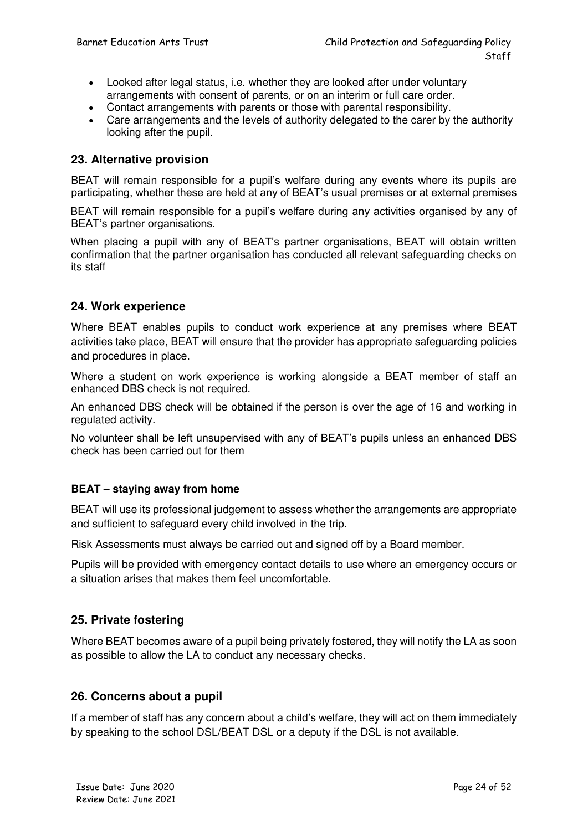- Looked after legal status, i.e. whether they are looked after under voluntary arrangements with consent of parents, or on an interim or full care order.
- Contact arrangements with parents or those with parental responsibility.
- Care arrangements and the levels of authority delegated to the carer by the authority looking after the pupil.

#### **23. Alternative provision**

BEAT will remain responsible for a pupil's welfare during any events where its pupils are participating, whether these are held at any of BEAT's usual premises or at external premises

BEAT will remain responsible for a pupil's welfare during any activities organised by any of BEAT's partner organisations.

When placing a pupil with any of BEAT's partner organisations, BEAT will obtain written confirmation that the partner organisation has conducted all relevant safeguarding checks on its staff

#### **24. Work experience**

Where BEAT enables pupils to conduct work experience at any premises where BEAT activities take place, BEAT will ensure that the provider has appropriate safeguarding policies and procedures in place.

Where a student on work experience is working alongside a BEAT member of staff an enhanced DBS check is not required.

An enhanced DBS check will be obtained if the person is over the age of 16 and working in regulated activity.

No volunteer shall be left unsupervised with any of BEAT's pupils unless an enhanced DBS check has been carried out for them

#### **BEAT – staying away from home**

BEAT will use its professional judgement to assess whether the arrangements are appropriate and sufficient to safeguard every child involved in the trip.

Risk Assessments must always be carried out and signed off by a Board member.

Pupils will be provided with emergency contact details to use where an emergency occurs or a situation arises that makes them feel uncomfortable.

#### **25. Private fostering**

Where BEAT becomes aware of a pupil being privately fostered, they will notify the LA as soon as possible to allow the LA to conduct any necessary checks.

#### **26. Concerns about a pupil**

If a member of staff has any concern about a child's welfare, they will act on them immediately by speaking to the school DSL/BEAT DSL or a deputy if the DSL is not available.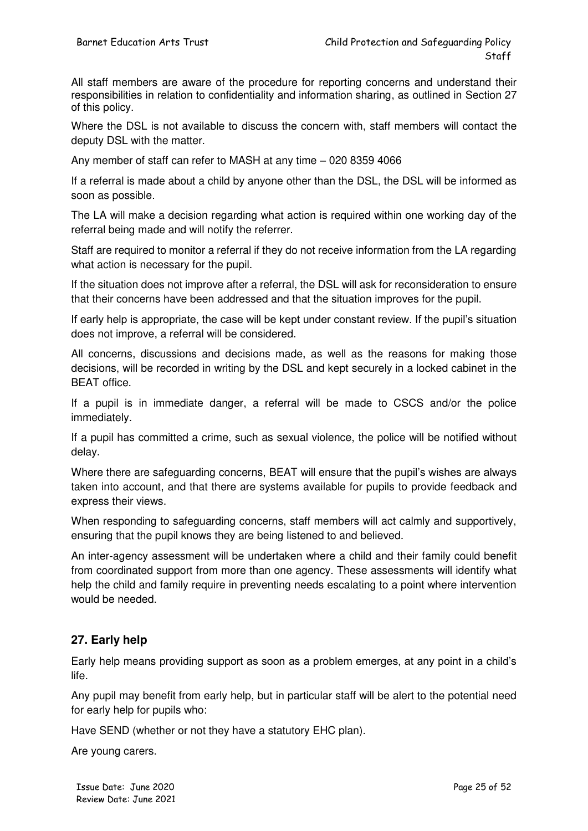All staff members are aware of the procedure for reporting concerns and understand their responsibilities in relation to confidentiality and information sharing, as outlined in Section 27 of this policy.

Where the DSL is not available to discuss the concern with, staff members will contact the deputy DSL with the matter.

Any member of staff can refer to MASH at any time – 020 8359 4066

If a referral is made about a child by anyone other than the DSL, the DSL will be informed as soon as possible.

The LA will make a decision regarding what action is required within one working day of the referral being made and will notify the referrer.

Staff are required to monitor a referral if they do not receive information from the LA regarding what action is necessary for the pupil.

If the situation does not improve after a referral, the DSL will ask for reconsideration to ensure that their concerns have been addressed and that the situation improves for the pupil.

If early help is appropriate, the case will be kept under constant review. If the pupil's situation does not improve, a referral will be considered.

All concerns, discussions and decisions made, as well as the reasons for making those decisions, will be recorded in writing by the DSL and kept securely in a locked cabinet in the BEAT office.

If a pupil is in immediate danger, a referral will be made to CSCS and/or the police immediately.

If a pupil has committed a crime, such as sexual violence, the police will be notified without delay.

Where there are safeguarding concerns, BEAT will ensure that the pupil's wishes are always taken into account, and that there are systems available for pupils to provide feedback and express their views.

When responding to safeguarding concerns, staff members will act calmly and supportively, ensuring that the pupil knows they are being listened to and believed.

An inter-agency assessment will be undertaken where a child and their family could benefit from coordinated support from more than one agency. These assessments will identify what help the child and family require in preventing needs escalating to a point where intervention would be needed.

#### **27. Early help**

Early help means providing support as soon as a problem emerges, at any point in a child's life.

Any pupil may benefit from early help, but in particular staff will be alert to the potential need for early help for pupils who:

Have SEND (whether or not they have a statutory EHC plan).

Are young carers.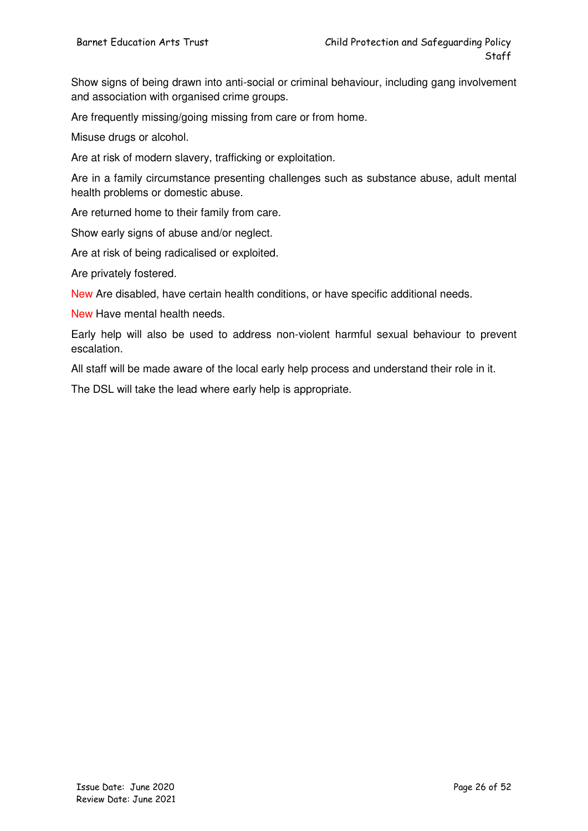Show signs of being drawn into anti-social or criminal behaviour, including gang involvement and association with organised crime groups.

Are frequently missing/going missing from care or from home.

Misuse drugs or alcohol.

Are at risk of modern slavery, trafficking or exploitation.

Are in a family circumstance presenting challenges such as substance abuse, adult mental health problems or domestic abuse.

Are returned home to their family from care.

Show early signs of abuse and/or neglect.

Are at risk of being radicalised or exploited.

Are privately fostered.

New Are disabled, have certain health conditions, or have specific additional needs.

New Have mental health needs.

Early help will also be used to address non-violent harmful sexual behaviour to prevent escalation.

All staff will be made aware of the local early help process and understand their role in it.

The DSL will take the lead where early help is appropriate.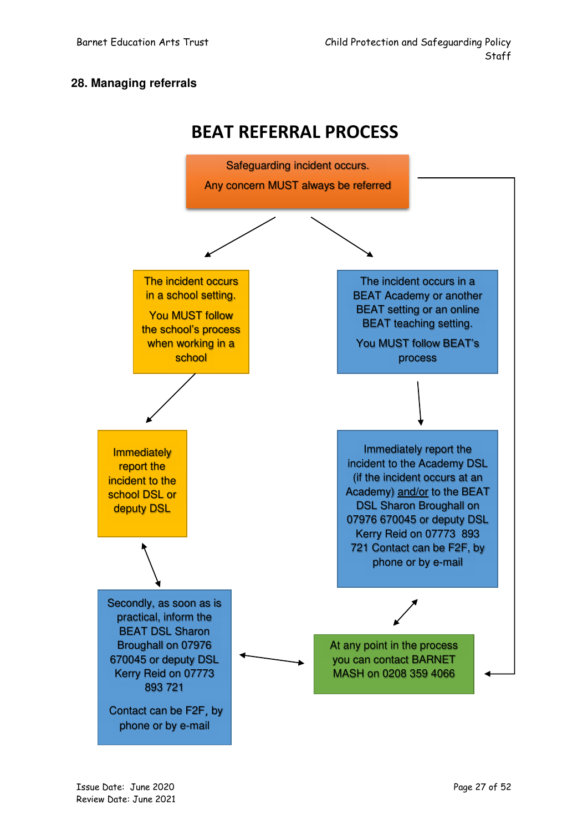#### **28. Managing referrals**



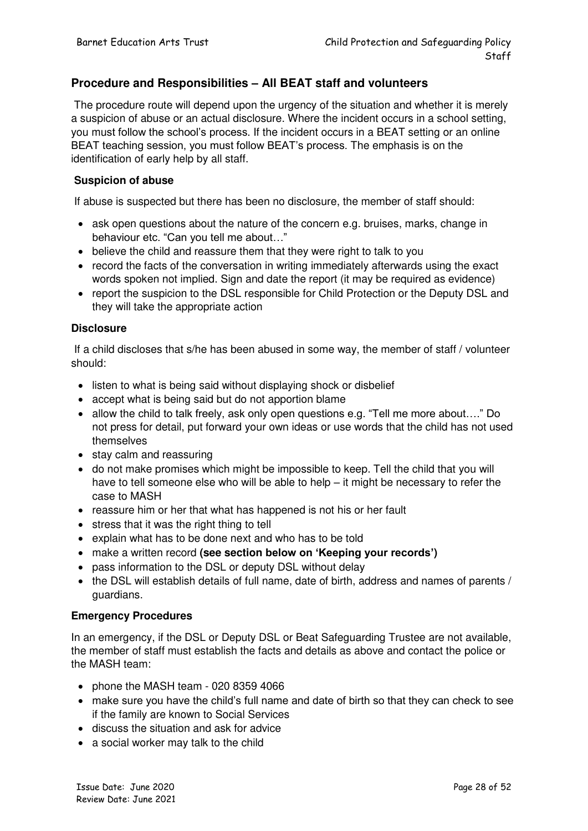#### **Procedure and Responsibilities – All BEAT staff and volunteers**

 The procedure route will depend upon the urgency of the situation and whether it is merely a suspicion of abuse or an actual disclosure. Where the incident occurs in a school setting, you must follow the school's process. If the incident occurs in a BEAT setting or an online BEAT teaching session, you must follow BEAT's process. The emphasis is on the identification of early help by all staff.

#### **Suspicion of abuse**

If abuse is suspected but there has been no disclosure, the member of staff should:

- ask open questions about the nature of the concern e.g. bruises, marks, change in behaviour etc. "Can you tell me about…"
- believe the child and reassure them that they were right to talk to you
- record the facts of the conversation in writing immediately afterwards using the exact words spoken not implied. Sign and date the report (it may be required as evidence)
- report the suspicion to the DSL responsible for Child Protection or the Deputy DSL and they will take the appropriate action

#### **Disclosure**

 If a child discloses that s/he has been abused in some way, the member of staff / volunteer should:

- listen to what is being said without displaying shock or disbelief
- accept what is being said but do not apportion blame
- allow the child to talk freely, ask only open questions e.g. "Tell me more about…." Do not press for detail, put forward your own ideas or use words that the child has not used themselves
- stay calm and reassuring
- do not make promises which might be impossible to keep. Tell the child that you will have to tell someone else who will be able to help – it might be necessary to refer the case to MASH
- reassure him or her that what has happened is not his or her fault
- stress that it was the right thing to tell
- explain what has to be done next and who has to be told
- make a written record **(see section below on 'Keeping your records')**
- pass information to the DSL or deputy DSL without delay
- the DSL will establish details of full name, date of birth, address and names of parents / guardians.

#### **Emergency Procedures**

In an emergency, if the DSL or Deputy DSL or Beat Safeguarding Trustee are not available, the member of staff must establish the facts and details as above and contact the police or the MASH team:

- phone the MASH team 020 8359 4066
- make sure you have the child's full name and date of birth so that they can check to see if the family are known to Social Services
- discuss the situation and ask for advice
- a social worker may talk to the child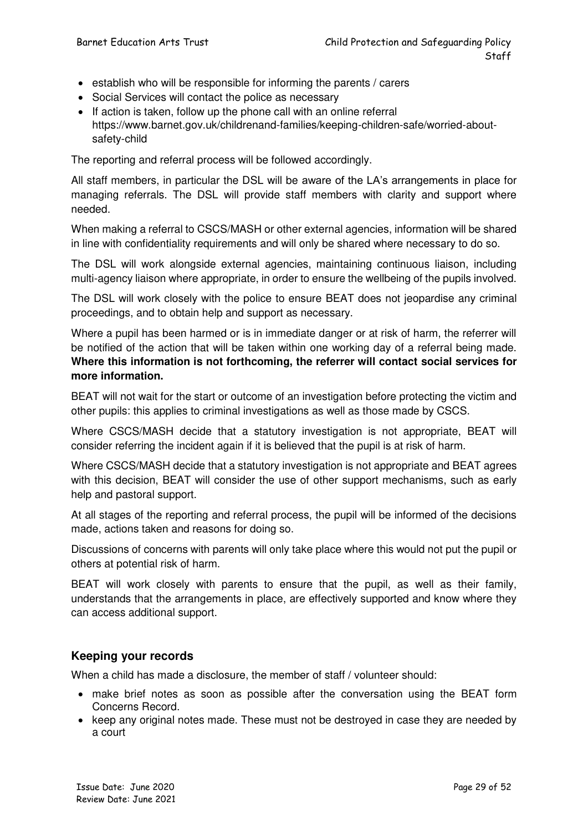- establish who will be responsible for informing the parents / carers
- Social Services will contact the police as necessary
- If action is taken, follow up the phone call with an online referral https://www.barnet.gov.uk/childrenand-families/keeping-children-safe/worried-aboutsafety-child

The reporting and referral process will be followed accordingly.

All staff members, in particular the DSL will be aware of the LA's arrangements in place for managing referrals. The DSL will provide staff members with clarity and support where needed.

When making a referral to CSCS/MASH or other external agencies, information will be shared in line with confidentiality requirements and will only be shared where necessary to do so.

The DSL will work alongside external agencies, maintaining continuous liaison, including multi-agency liaison where appropriate, in order to ensure the wellbeing of the pupils involved.

The DSL will work closely with the police to ensure BEAT does not jeopardise any criminal proceedings, and to obtain help and support as necessary.

Where a pupil has been harmed or is in immediate danger or at risk of harm, the referrer will be notified of the action that will be taken within one working day of a referral being made. **Where this information is not forthcoming, the referrer will contact social services for more information.** 

BEAT will not wait for the start or outcome of an investigation before protecting the victim and other pupils: this applies to criminal investigations as well as those made by CSCS.

Where CSCS/MASH decide that a statutory investigation is not appropriate, BEAT will consider referring the incident again if it is believed that the pupil is at risk of harm.

Where CSCS/MASH decide that a statutory investigation is not appropriate and BEAT agrees with this decision, BEAT will consider the use of other support mechanisms, such as early help and pastoral support.

At all stages of the reporting and referral process, the pupil will be informed of the decisions made, actions taken and reasons for doing so.

Discussions of concerns with parents will only take place where this would not put the pupil or others at potential risk of harm.

BEAT will work closely with parents to ensure that the pupil, as well as their family, understands that the arrangements in place, are effectively supported and know where they can access additional support.

#### **Keeping your records**

When a child has made a disclosure, the member of staff / volunteer should:

- make brief notes as soon as possible after the conversation using the BEAT form Concerns Record.
- keep any original notes made. These must not be destroyed in case they are needed by a court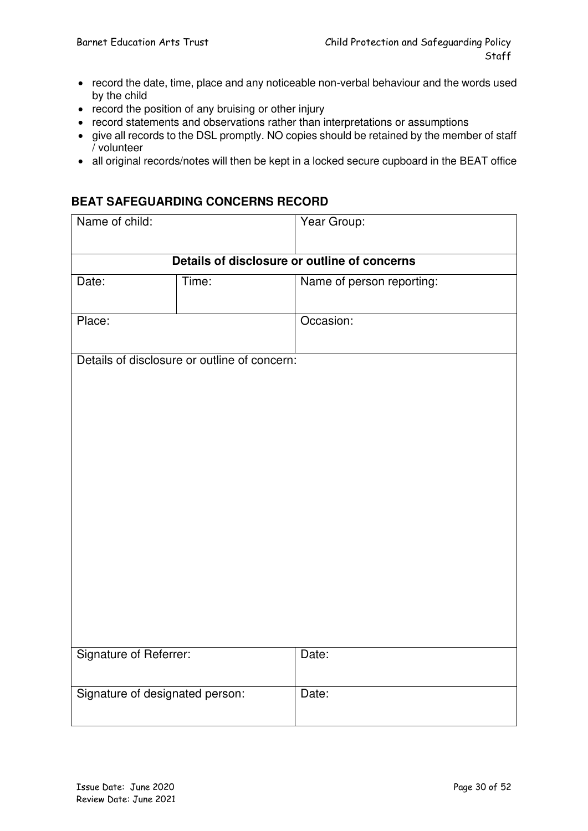- record the date, time, place and any noticeable non-verbal behaviour and the words used by the child
- record the position of any bruising or other injury
- record statements and observations rather than interpretations or assumptions
- give all records to the DSL promptly. NO copies should be retained by the member of staff / volunteer
- all original records/notes will then be kept in a locked secure cupboard in the BEAT office

#### **BEAT SAFEGUARDING CONCERNS RECORD**

| Name of child:                               |                                              | Year Group:               |  |  |
|----------------------------------------------|----------------------------------------------|---------------------------|--|--|
|                                              |                                              |                           |  |  |
| Details of disclosure or outline of concerns |                                              |                           |  |  |
| Date:                                        | Time:                                        | Name of person reporting: |  |  |
|                                              |                                              |                           |  |  |
| Place:                                       |                                              | Occasion:                 |  |  |
|                                              |                                              |                           |  |  |
|                                              | Details of disclosure or outline of concern: |                           |  |  |
|                                              |                                              |                           |  |  |
|                                              |                                              |                           |  |  |
|                                              |                                              |                           |  |  |
|                                              |                                              |                           |  |  |
|                                              |                                              |                           |  |  |
|                                              |                                              |                           |  |  |
|                                              |                                              |                           |  |  |
|                                              |                                              |                           |  |  |
|                                              |                                              |                           |  |  |
|                                              |                                              |                           |  |  |
|                                              |                                              |                           |  |  |
|                                              |                                              |                           |  |  |
|                                              |                                              |                           |  |  |
| Signature of Referrer:                       |                                              | Date:                     |  |  |
|                                              |                                              |                           |  |  |
| Signature of designated person:              |                                              | Date:                     |  |  |
|                                              |                                              |                           |  |  |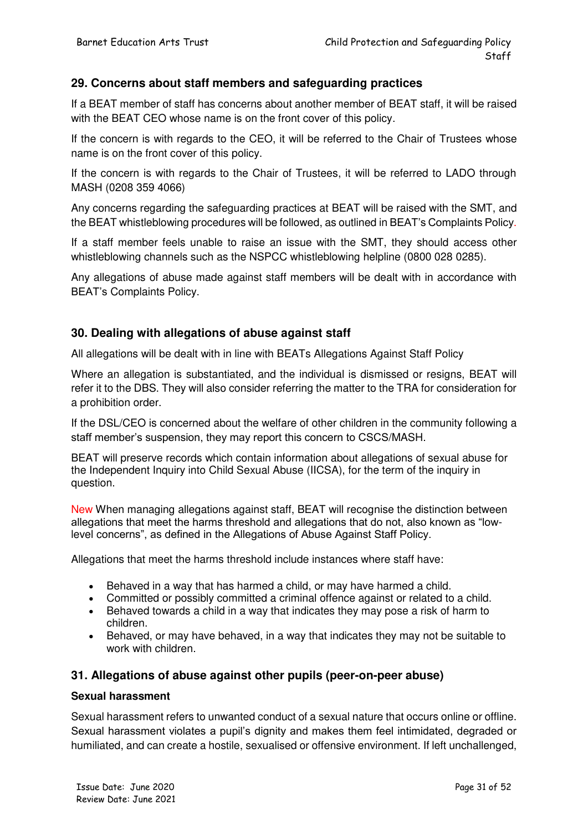#### **29. Concerns about staff members and safeguarding practices**

If a BEAT member of staff has concerns about another member of BEAT staff, it will be raised with the BEAT CEO whose name is on the front cover of this policy.

If the concern is with regards to the CEO, it will be referred to the Chair of Trustees whose name is on the front cover of this policy.

If the concern is with regards to the Chair of Trustees, it will be referred to LADO through MASH (0208 359 4066)

Any concerns regarding the safeguarding practices at BEAT will be raised with the SMT, and the BEAT whistleblowing procedures will be followed, as outlined in BEAT's Complaints Policy.

If a staff member feels unable to raise an issue with the SMT, they should access other whistleblowing channels such as the NSPCC whistleblowing helpline (0800 028 0285).

Any allegations of abuse made against staff members will be dealt with in accordance with BEAT's Complaints Policy.

#### **30. Dealing with allegations of abuse against staff**

All allegations will be dealt with in line with BEATs Allegations Against Staff Policy

Where an allegation is substantiated, and the individual is dismissed or resigns, BEAT will refer it to the DBS. They will also consider referring the matter to the TRA for consideration for a prohibition order.

If the DSL/CEO is concerned about the welfare of other children in the community following a staff member's suspension, they may report this concern to CSCS/MASH.

BEAT will preserve records which contain information about allegations of sexual abuse for the Independent Inquiry into Child Sexual Abuse (IICSA), for the term of the inquiry in question.

New When managing allegations against staff, BEAT will recognise the distinction between allegations that meet the harms threshold and allegations that do not, also known as "lowlevel concerns", as defined in the Allegations of Abuse Against Staff Policy.

Allegations that meet the harms threshold include instances where staff have:

- Behaved in a way that has harmed a child, or may have harmed a child.
- Committed or possibly committed a criminal offence against or related to a child.
- Behaved towards a child in a way that indicates they may pose a risk of harm to children.
- Behaved, or may have behaved, in a way that indicates they may not be suitable to work with children.

#### **31. Allegations of abuse against other pupils (peer-on-peer abuse)**

#### **Sexual harassment**

Sexual harassment refers to unwanted conduct of a sexual nature that occurs online or offline. Sexual harassment violates a pupil's dignity and makes them feel intimidated, degraded or humiliated, and can create a hostile, sexualised or offensive environment. If left unchallenged,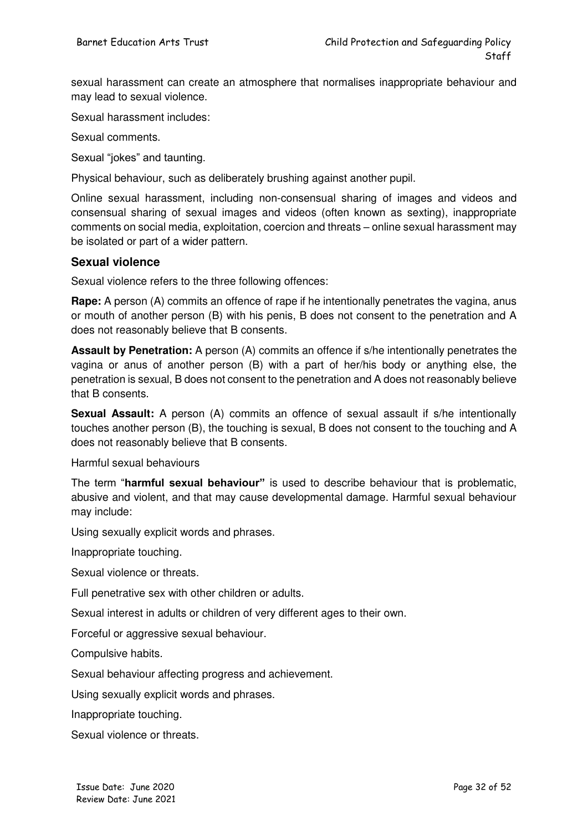sexual harassment can create an atmosphere that normalises inappropriate behaviour and may lead to sexual violence.

Sexual harassment includes:

Sexual comments.

Sexual "jokes" and taunting.

Physical behaviour, such as deliberately brushing against another pupil.

Online sexual harassment, including non-consensual sharing of images and videos and consensual sharing of sexual images and videos (often known as sexting), inappropriate comments on social media, exploitation, coercion and threats – online sexual harassment may be isolated or part of a wider pattern.

#### **Sexual violence**

Sexual violence refers to the three following offences:

**Rape:** A person (A) commits an offence of rape if he intentionally penetrates the vagina, anus or mouth of another person (B) with his penis, B does not consent to the penetration and A does not reasonably believe that B consents.

**Assault by Penetration:** A person (A) commits an offence if s/he intentionally penetrates the vagina or anus of another person (B) with a part of her/his body or anything else, the penetration is sexual, B does not consent to the penetration and A does not reasonably believe that B consents.

**Sexual Assault:** A person (A) commits an offence of sexual assault if s/he intentionally touches another person (B), the touching is sexual, B does not consent to the touching and A does not reasonably believe that B consents.

Harmful sexual behaviours

The term "**harmful sexual behaviour"** is used to describe behaviour that is problematic, abusive and violent, and that may cause developmental damage. Harmful sexual behaviour may include:

Using sexually explicit words and phrases.

Inappropriate touching.

Sexual violence or threats.

Full penetrative sex with other children or adults.

Sexual interest in adults or children of very different ages to their own.

Forceful or aggressive sexual behaviour.

Compulsive habits.

Sexual behaviour affecting progress and achievement.

Using sexually explicit words and phrases.

Inappropriate touching.

Sexual violence or threats.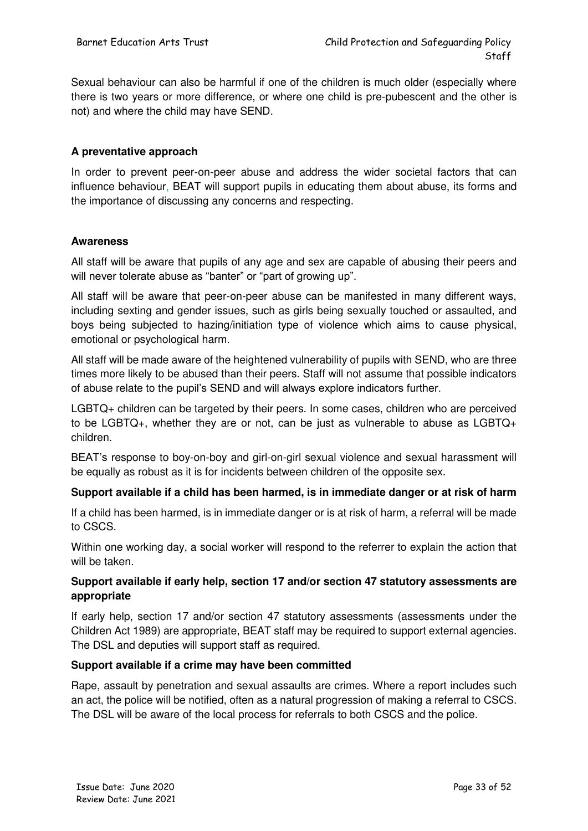Sexual behaviour can also be harmful if one of the children is much older (especially where there is two years or more difference, or where one child is pre-pubescent and the other is not) and where the child may have SEND.

#### **A preventative approach**

In order to prevent peer-on-peer abuse and address the wider societal factors that can influence behaviour, BEAT will support pupils in educating them about abuse, its forms and the importance of discussing any concerns and respecting.

#### **Awareness**

All staff will be aware that pupils of any age and sex are capable of abusing their peers and will never tolerate abuse as "banter" or "part of growing up".

All staff will be aware that peer-on-peer abuse can be manifested in many different ways, including sexting and gender issues, such as girls being sexually touched or assaulted, and boys being subjected to hazing/initiation type of violence which aims to cause physical, emotional or psychological harm.

All staff will be made aware of the heightened vulnerability of pupils with SEND, who are three times more likely to be abused than their peers. Staff will not assume that possible indicators of abuse relate to the pupil's SEND and will always explore indicators further.

LGBTQ+ children can be targeted by their peers. In some cases, children who are perceived to be LGBTQ+, whether they are or not, can be just as vulnerable to abuse as LGBTQ+ children.

BEAT's response to boy-on-boy and girl-on-girl sexual violence and sexual harassment will be equally as robust as it is for incidents between children of the opposite sex.

#### **Support available if a child has been harmed, is in immediate danger or at risk of harm**

If a child has been harmed, is in immediate danger or is at risk of harm, a referral will be made to CSCS.

Within one working day, a social worker will respond to the referrer to explain the action that will be taken.

#### **Support available if early help, section 17 and/or section 47 statutory assessments are appropriate**

If early help, section 17 and/or section 47 statutory assessments (assessments under the Children Act 1989) are appropriate, BEAT staff may be required to support external agencies. The DSL and deputies will support staff as required.

#### **Support available if a crime may have been committed**

Rape, assault by penetration and sexual assaults are crimes. Where a report includes such an act, the police will be notified, often as a natural progression of making a referral to CSCS. The DSL will be aware of the local process for referrals to both CSCS and the police.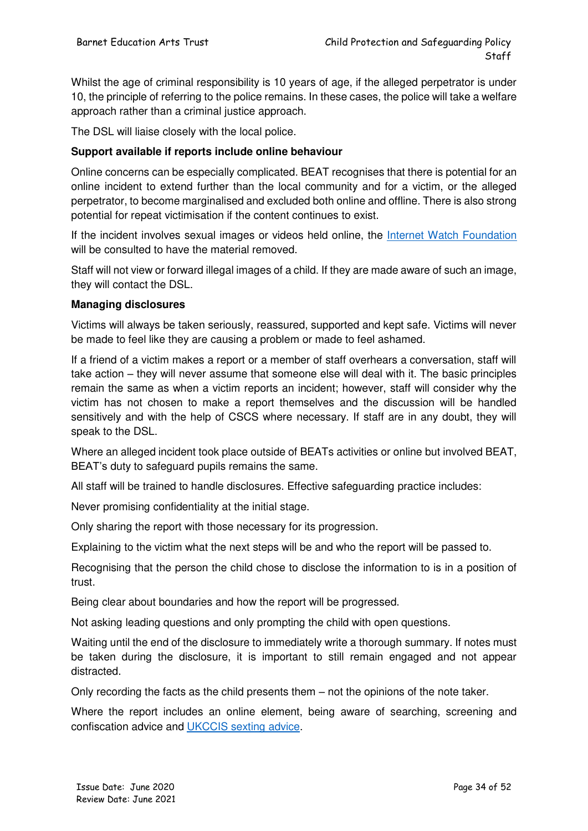Whilst the age of criminal responsibility is 10 years of age, if the alleged perpetrator is under 10, the principle of referring to the police remains. In these cases, the police will take a welfare approach rather than a criminal justice approach.

The DSL will liaise closely with the local police.

#### **Support available if reports include online behaviour**

Online concerns can be especially complicated. BEAT recognises that there is potential for an online incident to extend further than the local community and for a victim, or the alleged perpetrator, to become marginalised and excluded both online and offline. There is also strong potential for repeat victimisation if the content continues to exist.

If the incident involves sexual images or videos held online, the [Internet Watch Foundation](https://www.iwf.org.uk/) will be consulted to have the material removed.

Staff will not view or forward illegal images of a child. If they are made aware of such an image, they will contact the DSL.

#### **Managing disclosures**

Victims will always be taken seriously, reassured, supported and kept safe. Victims will never be made to feel like they are causing a problem or made to feel ashamed.

If a friend of a victim makes a report or a member of staff overhears a conversation, staff will take action – they will never assume that someone else will deal with it. The basic principles remain the same as when a victim reports an incident; however, staff will consider why the victim has not chosen to make a report themselves and the discussion will be handled sensitively and with the help of CSCS where necessary. If staff are in any doubt, they will speak to the DSL.

Where an alleged incident took place outside of BEATs activities or online but involved BEAT, BEAT's duty to safeguard pupils remains the same.

All staff will be trained to handle disclosures. Effective safeguarding practice includes:

Never promising confidentiality at the initial stage.

Only sharing the report with those necessary for its progression.

Explaining to the victim what the next steps will be and who the report will be passed to.

Recognising that the person the child chose to disclose the information to is in a position of trust.

Being clear about boundaries and how the report will be progressed.

Not asking leading questions and only prompting the child with open questions.

Waiting until the end of the disclosure to immediately write a thorough summary. If notes must be taken during the disclosure, it is important to still remain engaged and not appear distracted.

Only recording the facts as the child presents them – not the opinions of the note taker.

Where the report includes an online element, being aware of searching, screening and confiscation advice and [UKCCIS sexting advice.](https://www.safeguardinginschools.co.uk/responding-sexting-schools-colleges-ukccis/)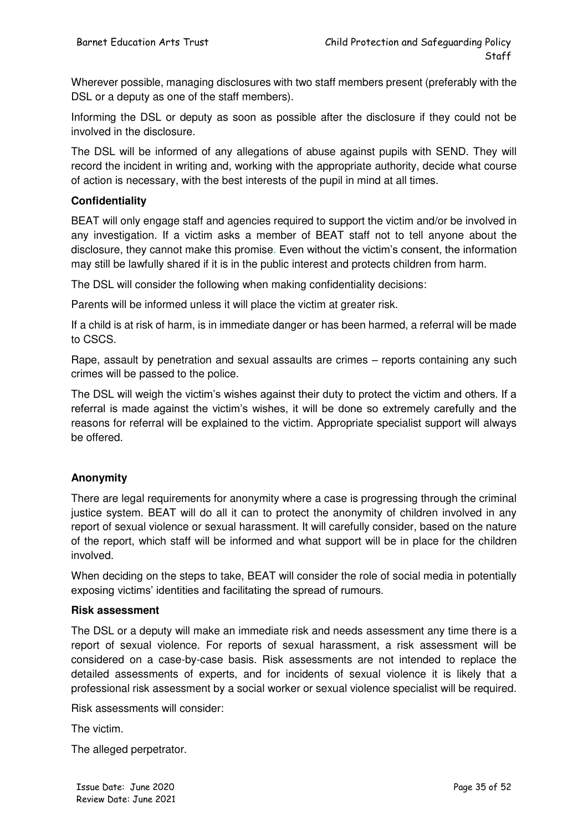Wherever possible, managing disclosures with two staff members present (preferably with the DSL or a deputy as one of the staff members).

Informing the DSL or deputy as soon as possible after the disclosure if they could not be involved in the disclosure.

The DSL will be informed of any allegations of abuse against pupils with SEND. They will record the incident in writing and, working with the appropriate authority, decide what course of action is necessary, with the best interests of the pupil in mind at all times.

#### **Confidentiality**

BEAT will only engage staff and agencies required to support the victim and/or be involved in any investigation. If a victim asks a member of BEAT staff not to tell anyone about the disclosure, they cannot make this promise. Even without the victim's consent, the information may still be lawfully shared if it is in the public interest and protects children from harm.

The DSL will consider the following when making confidentiality decisions:

Parents will be informed unless it will place the victim at greater risk.

If a child is at risk of harm, is in immediate danger or has been harmed, a referral will be made to CSCS.

Rape, assault by penetration and sexual assaults are crimes – reports containing any such crimes will be passed to the police.

The DSL will weigh the victim's wishes against their duty to protect the victim and others. If a referral is made against the victim's wishes, it will be done so extremely carefully and the reasons for referral will be explained to the victim. Appropriate specialist support will always be offered.

#### **Anonymity**

There are legal requirements for anonymity where a case is progressing through the criminal justice system. BEAT will do all it can to protect the anonymity of children involved in any report of sexual violence or sexual harassment. It will carefully consider, based on the nature of the report, which staff will be informed and what support will be in place for the children involved.

When deciding on the steps to take, BEAT will consider the role of social media in potentially exposing victims' identities and facilitating the spread of rumours.

#### **Risk assessment**

The DSL or a deputy will make an immediate risk and needs assessment any time there is a report of sexual violence. For reports of sexual harassment, a risk assessment will be considered on a case-by-case basis. Risk assessments are not intended to replace the detailed assessments of experts, and for incidents of sexual violence it is likely that a professional risk assessment by a social worker or sexual violence specialist will be required.

Risk assessments will consider:

The victim.

The alleged perpetrator.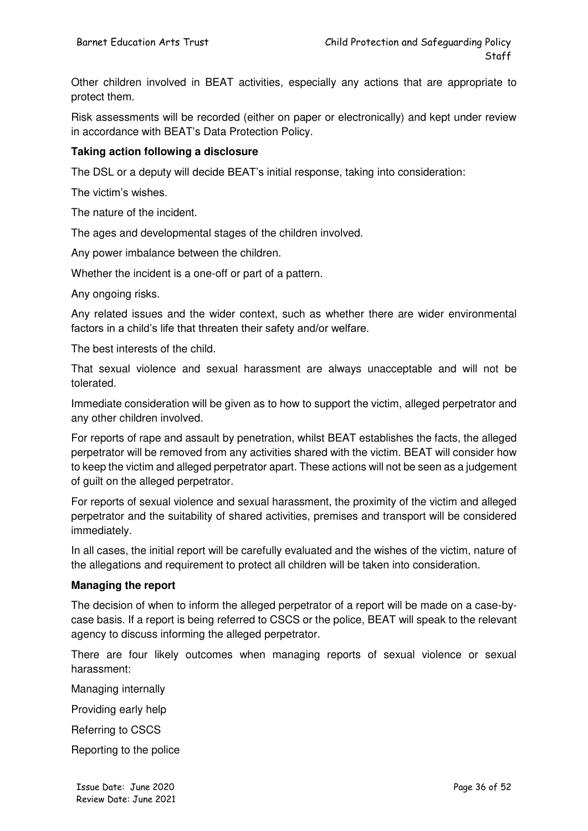Other children involved in BEAT activities, especially any actions that are appropriate to protect them.

Risk assessments will be recorded (either on paper or electronically) and kept under review in accordance with BEAT's Data Protection Policy.

#### **Taking action following a disclosure**

The DSL or a deputy will decide BEAT's initial response, taking into consideration:

The victim's wishes.

The nature of the incident.

The ages and developmental stages of the children involved.

Any power imbalance between the children.

Whether the incident is a one-off or part of a pattern.

Any ongoing risks.

Any related issues and the wider context, such as whether there are wider environmental factors in a child's life that threaten their safety and/or welfare.

The best interests of the child.

That sexual violence and sexual harassment are always unacceptable and will not be tolerated.

Immediate consideration will be given as to how to support the victim, alleged perpetrator and any other children involved.

For reports of rape and assault by penetration, whilst BEAT establishes the facts, the alleged perpetrator will be removed from any activities shared with the victim. BEAT will consider how to keep the victim and alleged perpetrator apart. These actions will not be seen as a judgement of guilt on the alleged perpetrator.

For reports of sexual violence and sexual harassment, the proximity of the victim and alleged perpetrator and the suitability of shared activities, premises and transport will be considered immediately.

In all cases, the initial report will be carefully evaluated and the wishes of the victim, nature of the allegations and requirement to protect all children will be taken into consideration.

#### **Managing the report**

The decision of when to inform the alleged perpetrator of a report will be made on a case-bycase basis. If a report is being referred to CSCS or the police, BEAT will speak to the relevant agency to discuss informing the alleged perpetrator.

There are four likely outcomes when managing reports of sexual violence or sexual harassment:

Managing internally

Providing early help

Referring to CSCS

Reporting to the police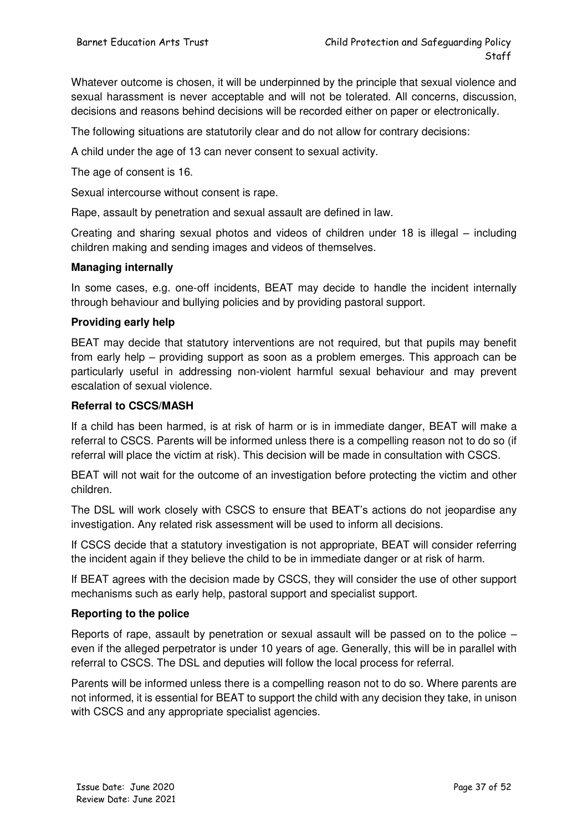Whatever outcome is chosen, it will be underpinned by the principle that sexual violence and sexual harassment is never acceptable and will not be tolerated. All concerns, discussion, decisions and reasons behind decisions will be recorded either on paper or electronically.

The following situations are statutorily clear and do not allow for contrary decisions:

A child under the age of 13 can never consent to sexual activity.

The age of consent is 16.

Sexual intercourse without consent is rape.

Rape, assault by penetration and sexual assault are defined in law.

Creating and sharing sexual photos and videos of children under 18 is illegal – including children making and sending images and videos of themselves.

#### **Managing internally**

In some cases, e.g. one-off incidents, BEAT may decide to handle the incident internally through behaviour and bullying policies and by providing pastoral support.

#### **Providing early help**

BEAT may decide that statutory interventions are not required, but that pupils may benefit from early help – providing support as soon as a problem emerges. This approach can be particularly useful in addressing non-violent harmful sexual behaviour and may prevent escalation of sexual violence.

#### **Referral to CSCS/MASH**

If a child has been harmed, is at risk of harm or is in immediate danger, BEAT will make a referral to CSCS. Parents will be informed unless there is a compelling reason not to do so (if referral will place the victim at risk). This decision will be made in consultation with CSCS.

BEAT will not wait for the outcome of an investigation before protecting the victim and other children.

The DSL will work closely with CSCS to ensure that BEAT's actions do not jeopardise any investigation. Any related risk assessment will be used to inform all decisions.

If CSCS decide that a statutory investigation is not appropriate, BEAT will consider referring the incident again if they believe the child to be in immediate danger or at risk of harm.

If BEAT agrees with the decision made by CSCS, they will consider the use of other support mechanisms such as early help, pastoral support and specialist support.

#### **Reporting to the police**

Reports of rape, assault by penetration or sexual assault will be passed on to the police – even if the alleged perpetrator is under 10 years of age. Generally, this will be in parallel with referral to CSCS. The DSL and deputies will follow the local process for referral.

Parents will be informed unless there is a compelling reason not to do so. Where parents are not informed, it is essential for BEAT to support the child with any decision they take, in unison with CSCS and any appropriate specialist agencies.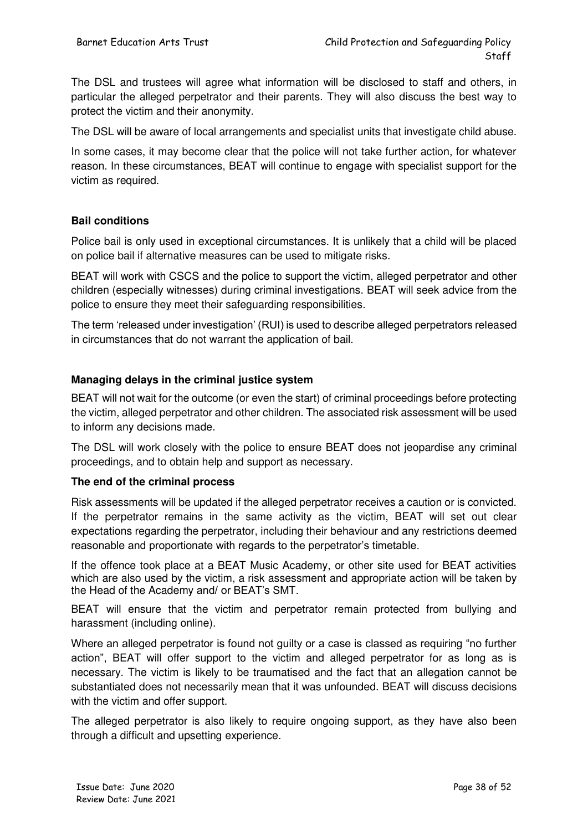The DSL and trustees will agree what information will be disclosed to staff and others, in particular the alleged perpetrator and their parents. They will also discuss the best way to protect the victim and their anonymity.

The DSL will be aware of local arrangements and specialist units that investigate child abuse.

In some cases, it may become clear that the police will not take further action, for whatever reason. In these circumstances, BEAT will continue to engage with specialist support for the victim as required.

#### **Bail conditions**

Police bail is only used in exceptional circumstances. It is unlikely that a child will be placed on police bail if alternative measures can be used to mitigate risks.

BEAT will work with CSCS and the police to support the victim, alleged perpetrator and other children (especially witnesses) during criminal investigations. BEAT will seek advice from the police to ensure they meet their safeguarding responsibilities.

The term 'released under investigation' (RUI) is used to describe alleged perpetrators released in circumstances that do not warrant the application of bail.

#### **Managing delays in the criminal justice system**

BEAT will not wait for the outcome (or even the start) of criminal proceedings before protecting the victim, alleged perpetrator and other children. The associated risk assessment will be used to inform any decisions made.

The DSL will work closely with the police to ensure BEAT does not jeopardise any criminal proceedings, and to obtain help and support as necessary.

#### **The end of the criminal process**

Risk assessments will be updated if the alleged perpetrator receives a caution or is convicted. If the perpetrator remains in the same activity as the victim, BEAT will set out clear expectations regarding the perpetrator, including their behaviour and any restrictions deemed reasonable and proportionate with regards to the perpetrator's timetable.

If the offence took place at a BEAT Music Academy, or other site used for BEAT activities which are also used by the victim, a risk assessment and appropriate action will be taken by the Head of the Academy and/ or BEAT's SMT.

BEAT will ensure that the victim and perpetrator remain protected from bullying and harassment (including online).

Where an alleged perpetrator is found not guilty or a case is classed as requiring "no further action", BEAT will offer support to the victim and alleged perpetrator for as long as is necessary. The victim is likely to be traumatised and the fact that an allegation cannot be substantiated does not necessarily mean that it was unfounded. BEAT will discuss decisions with the victim and offer support.

The alleged perpetrator is also likely to require ongoing support, as they have also been through a difficult and upsetting experience.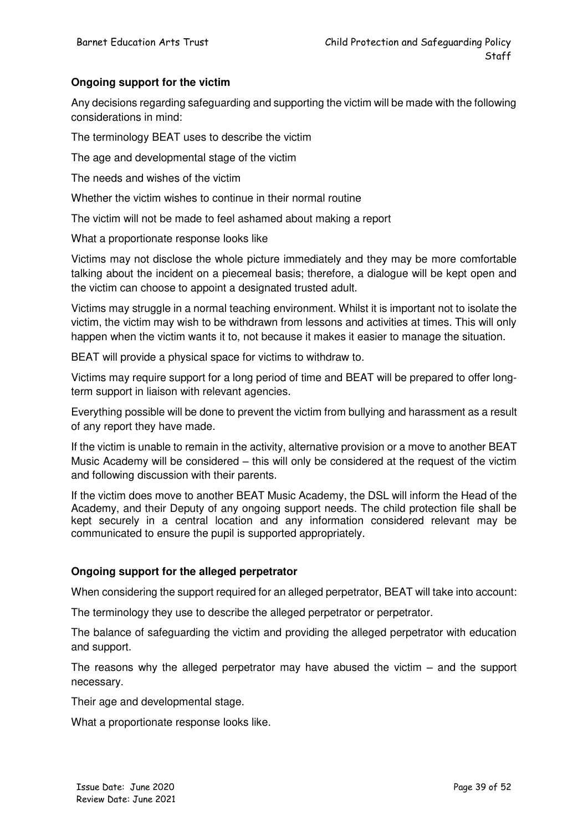#### **Ongoing support for the victim**

Any decisions regarding safeguarding and supporting the victim will be made with the following considerations in mind:

The terminology BEAT uses to describe the victim

The age and developmental stage of the victim

The needs and wishes of the victim

Whether the victim wishes to continue in their normal routine

The victim will not be made to feel ashamed about making a report

What a proportionate response looks like

Victims may not disclose the whole picture immediately and they may be more comfortable talking about the incident on a piecemeal basis; therefore, a dialogue will be kept open and the victim can choose to appoint a designated trusted adult.

Victims may struggle in a normal teaching environment. Whilst it is important not to isolate the victim, the victim may wish to be withdrawn from lessons and activities at times. This will only happen when the victim wants it to, not because it makes it easier to manage the situation.

BEAT will provide a physical space for victims to withdraw to.

Victims may require support for a long period of time and BEAT will be prepared to offer longterm support in liaison with relevant agencies.

Everything possible will be done to prevent the victim from bullying and harassment as a result of any report they have made.

If the victim is unable to remain in the activity, alternative provision or a move to another BEAT Music Academy will be considered – this will only be considered at the request of the victim and following discussion with their parents.

If the victim does move to another BEAT Music Academy, the DSL will inform the Head of the Academy, and their Deputy of any ongoing support needs. The child protection file shall be kept securely in a central location and any information considered relevant may be communicated to ensure the pupil is supported appropriately.

#### **Ongoing support for the alleged perpetrator**

When considering the support required for an alleged perpetrator, BEAT will take into account:

The terminology they use to describe the alleged perpetrator or perpetrator.

The balance of safeguarding the victim and providing the alleged perpetrator with education and support.

The reasons why the alleged perpetrator may have abused the victim – and the support necessary.

Their age and developmental stage.

What a proportionate response looks like.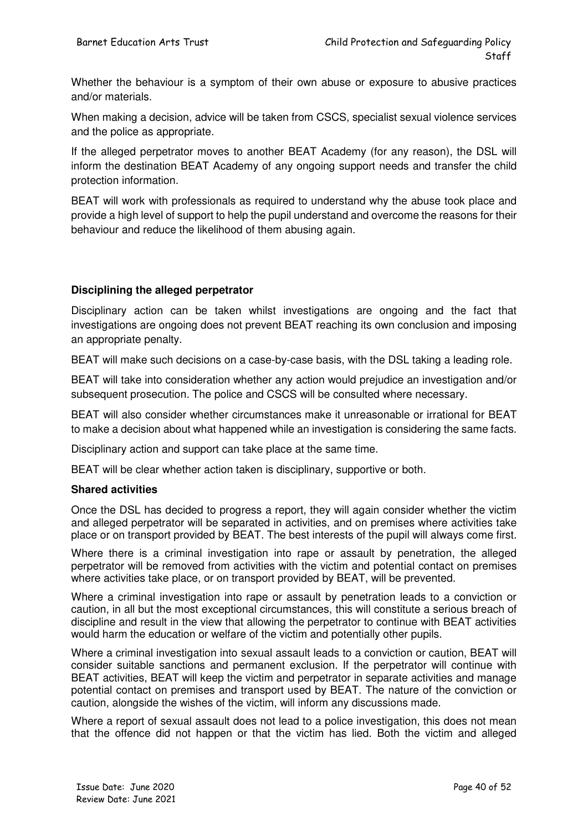Whether the behaviour is a symptom of their own abuse or exposure to abusive practices and/or materials.

When making a decision, advice will be taken from CSCS, specialist sexual violence services and the police as appropriate.

If the alleged perpetrator moves to another BEAT Academy (for any reason), the DSL will inform the destination BEAT Academy of any ongoing support needs and transfer the child protection information.

BEAT will work with professionals as required to understand why the abuse took place and provide a high level of support to help the pupil understand and overcome the reasons for their behaviour and reduce the likelihood of them abusing again.

#### **Disciplining the alleged perpetrator**

Disciplinary action can be taken whilst investigations are ongoing and the fact that investigations are ongoing does not prevent BEAT reaching its own conclusion and imposing an appropriate penalty.

BEAT will make such decisions on a case-by-case basis, with the DSL taking a leading role.

BEAT will take into consideration whether any action would prejudice an investigation and/or subsequent prosecution. The police and CSCS will be consulted where necessary.

BEAT will also consider whether circumstances make it unreasonable or irrational for BEAT to make a decision about what happened while an investigation is considering the same facts.

Disciplinary action and support can take place at the same time.

BEAT will be clear whether action taken is disciplinary, supportive or both.

#### **Shared activities**

Once the DSL has decided to progress a report, they will again consider whether the victim and alleged perpetrator will be separated in activities, and on premises where activities take place or on transport provided by BEAT. The best interests of the pupil will always come first.

Where there is a criminal investigation into rape or assault by penetration, the alleged perpetrator will be removed from activities with the victim and potential contact on premises where activities take place, or on transport provided by BEAT, will be prevented.

Where a criminal investigation into rape or assault by penetration leads to a conviction or caution, in all but the most exceptional circumstances, this will constitute a serious breach of discipline and result in the view that allowing the perpetrator to continue with BEAT activities would harm the education or welfare of the victim and potentially other pupils.

Where a criminal investigation into sexual assault leads to a conviction or caution, BEAT will consider suitable sanctions and permanent exclusion. If the perpetrator will continue with BEAT activities, BEAT will keep the victim and perpetrator in separate activities and manage potential contact on premises and transport used by BEAT. The nature of the conviction or caution, alongside the wishes of the victim, will inform any discussions made.

Where a report of sexual assault does not lead to a police investigation, this does not mean that the offence did not happen or that the victim has lied. Both the victim and alleged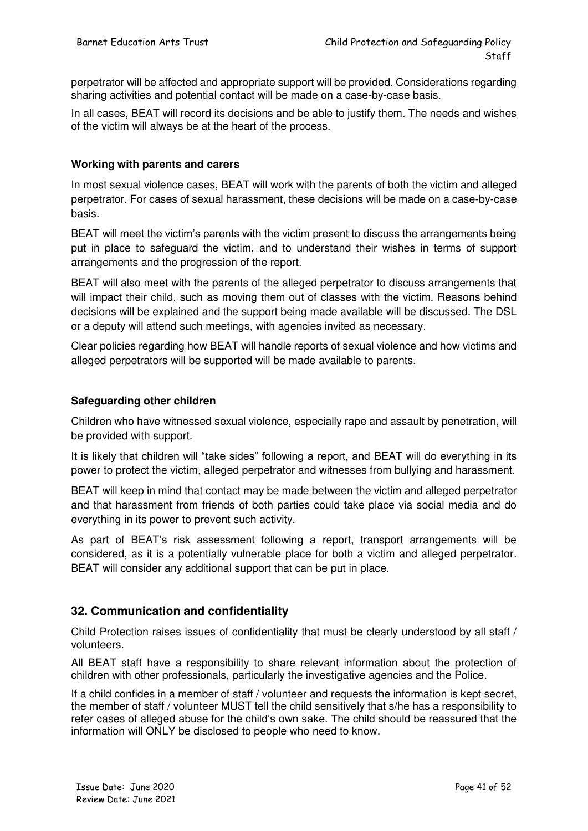perpetrator will be affected and appropriate support will be provided. Considerations regarding sharing activities and potential contact will be made on a case-by-case basis.

In all cases, BEAT will record its decisions and be able to justify them. The needs and wishes of the victim will always be at the heart of the process.

#### **Working with parents and carers**

In most sexual violence cases, BEAT will work with the parents of both the victim and alleged perpetrator. For cases of sexual harassment, these decisions will be made on a case-by-case basis.

BEAT will meet the victim's parents with the victim present to discuss the arrangements being put in place to safeguard the victim, and to understand their wishes in terms of support arrangements and the progression of the report.

BEAT will also meet with the parents of the alleged perpetrator to discuss arrangements that will impact their child, such as moving them out of classes with the victim. Reasons behind decisions will be explained and the support being made available will be discussed. The DSL or a deputy will attend such meetings, with agencies invited as necessary.

Clear policies regarding how BEAT will handle reports of sexual violence and how victims and alleged perpetrators will be supported will be made available to parents.

#### **Safeguarding other children**

Children who have witnessed sexual violence, especially rape and assault by penetration, will be provided with support.

It is likely that children will "take sides" following a report, and BEAT will do everything in its power to protect the victim, alleged perpetrator and witnesses from bullying and harassment.

BEAT will keep in mind that contact may be made between the victim and alleged perpetrator and that harassment from friends of both parties could take place via social media and do everything in its power to prevent such activity.

As part of BEAT's risk assessment following a report, transport arrangements will be considered, as it is a potentially vulnerable place for both a victim and alleged perpetrator. BEAT will consider any additional support that can be put in place.

#### **32. Communication and confidentiality**

Child Protection raises issues of confidentiality that must be clearly understood by all staff / volunteers.

All BEAT staff have a responsibility to share relevant information about the protection of children with other professionals, particularly the investigative agencies and the Police.

If a child confides in a member of staff / volunteer and requests the information is kept secret, the member of staff / volunteer MUST tell the child sensitively that s/he has a responsibility to refer cases of alleged abuse for the child's own sake. The child should be reassured that the information will ONLY be disclosed to people who need to know.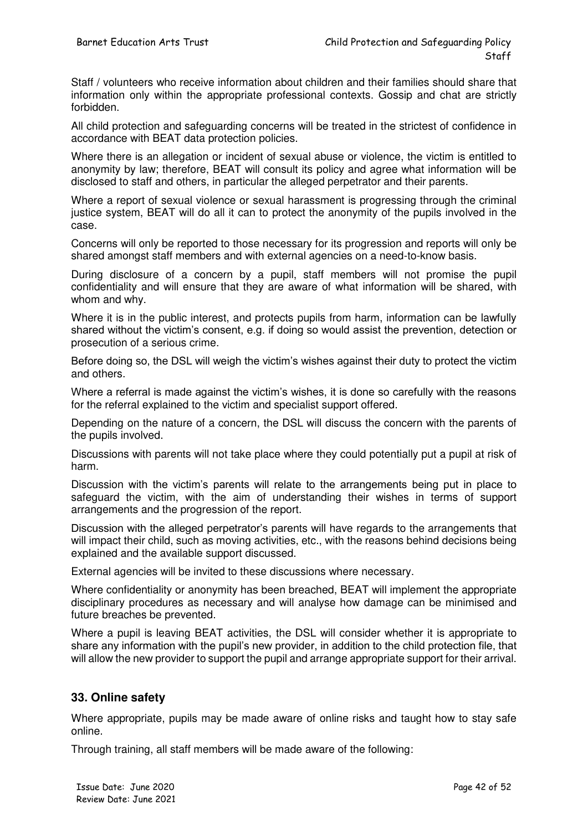Staff / volunteers who receive information about children and their families should share that information only within the appropriate professional contexts. Gossip and chat are strictly forbidden.

All child protection and safeguarding concerns will be treated in the strictest of confidence in accordance with BEAT data protection policies.

Where there is an allegation or incident of sexual abuse or violence, the victim is entitled to anonymity by law; therefore, BEAT will consult its policy and agree what information will be disclosed to staff and others, in particular the alleged perpetrator and their parents.

Where a report of sexual violence or sexual harassment is progressing through the criminal justice system, BEAT will do all it can to protect the anonymity of the pupils involved in the case.

Concerns will only be reported to those necessary for its progression and reports will only be shared amongst staff members and with external agencies on a need-to-know basis.

During disclosure of a concern by a pupil, staff members will not promise the pupil confidentiality and will ensure that they are aware of what information will be shared, with whom and why.

Where it is in the public interest, and protects pupils from harm, information can be lawfully shared without the victim's consent, e.g. if doing so would assist the prevention, detection or prosecution of a serious crime.

Before doing so, the DSL will weigh the victim's wishes against their duty to protect the victim and others.

Where a referral is made against the victim's wishes, it is done so carefully with the reasons for the referral explained to the victim and specialist support offered.

Depending on the nature of a concern, the DSL will discuss the concern with the parents of the pupils involved.

Discussions with parents will not take place where they could potentially put a pupil at risk of harm.

Discussion with the victim's parents will relate to the arrangements being put in place to safeguard the victim, with the aim of understanding their wishes in terms of support arrangements and the progression of the report.

Discussion with the alleged perpetrator's parents will have regards to the arrangements that will impact their child, such as moving activities, etc., with the reasons behind decisions being explained and the available support discussed.

External agencies will be invited to these discussions where necessary.

Where confidentiality or anonymity has been breached, BEAT will implement the appropriate disciplinary procedures as necessary and will analyse how damage can be minimised and future breaches be prevented.

Where a pupil is leaving BEAT activities, the DSL will consider whether it is appropriate to share any information with the pupil's new provider, in addition to the child protection file, that will allow the new provider to support the pupil and arrange appropriate support for their arrival.

#### **33. Online safety**

Where appropriate, pupils may be made aware of online risks and taught how to stay safe online.

Through training, all staff members will be made aware of the following: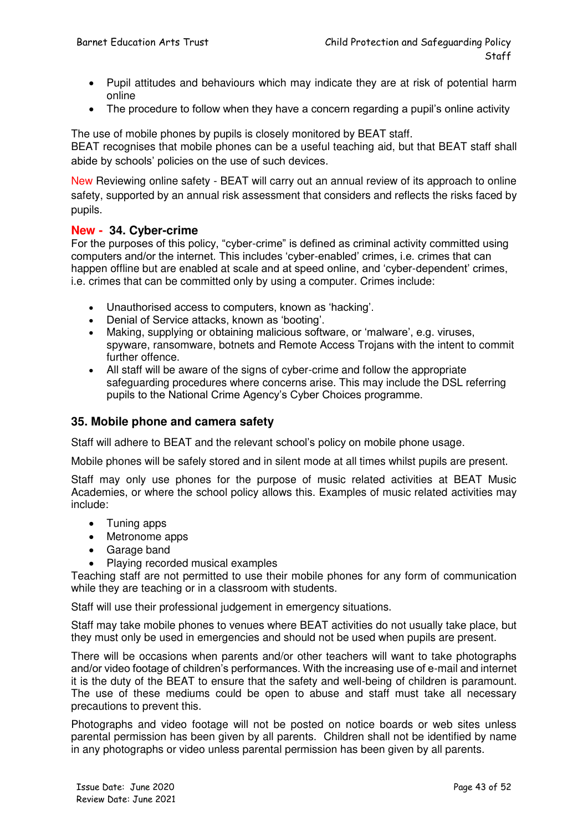- Pupil attitudes and behaviours which may indicate they are at risk of potential harm online
- The procedure to follow when they have a concern regarding a pupil's online activity

The use of mobile phones by pupils is closely monitored by BEAT staff. BEAT recognises that mobile phones can be a useful teaching aid, but that BEAT staff shall abide by schools' policies on the use of such devices.

New Reviewing online safety - BEAT will carry out an annual review of its approach to online safety, supported by an annual risk assessment that considers and reflects the risks faced by pupils.

#### **New - 34. Cyber-crime**

For the purposes of this policy, "cyber-crime" is defined as criminal activity committed using computers and/or the internet. This includes 'cyber-enabled' crimes, i.e. crimes that can happen offline but are enabled at scale and at speed online, and 'cyber-dependent' crimes, i.e. crimes that can be committed only by using a computer. Crimes include:

- Unauthorised access to computers, known as 'hacking'.
- Denial of Service attacks, known as 'booting'.
- Making, supplying or obtaining malicious software, or 'malware', e.g. viruses, spyware, ransomware, botnets and Remote Access Trojans with the intent to commit further offence.
- All staff will be aware of the signs of cyber-crime and follow the appropriate safeguarding procedures where concerns arise. This may include the DSL referring pupils to the National Crime Agency's Cyber Choices programme.

#### **35. Mobile phone and camera safety**

Staff will adhere to BEAT and the relevant school's policy on mobile phone usage.

Mobile phones will be safely stored and in silent mode at all times whilst pupils are present.

Staff may only use phones for the purpose of music related activities at BEAT Music Academies, or where the school policy allows this. Examples of music related activities may include:

- Tuning apps
- Metronome apps
- Garage band
- Playing recorded musical examples

Teaching staff are not permitted to use their mobile phones for any form of communication while they are teaching or in a classroom with students.

Staff will use their professional judgement in emergency situations.

Staff may take mobile phones to venues where BEAT activities do not usually take place, but they must only be used in emergencies and should not be used when pupils are present.

There will be occasions when parents and/or other teachers will want to take photographs and/or video footage of children's performances. With the increasing use of e-mail and internet it is the duty of the BEAT to ensure that the safety and well-being of children is paramount. The use of these mediums could be open to abuse and staff must take all necessary precautions to prevent this.

Photographs and video footage will not be posted on notice boards or web sites unless parental permission has been given by all parents. Children shall not be identified by name in any photographs or video unless parental permission has been given by all parents.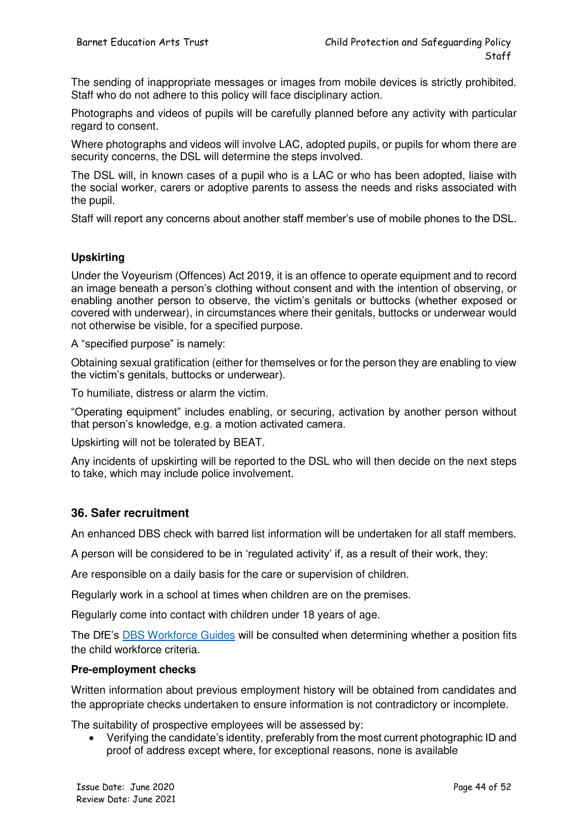The sending of inappropriate messages or images from mobile devices is strictly prohibited. Staff who do not adhere to this policy will face disciplinary action.

Photographs and videos of pupils will be carefully planned before any activity with particular regard to consent.

Where photographs and videos will involve LAC, adopted pupils, or pupils for whom there are security concerns, the DSL will determine the steps involved.

The DSL will, in known cases of a pupil who is a LAC or who has been adopted, liaise with the social worker, carers or adoptive parents to assess the needs and risks associated with the pupil.

Staff will report any concerns about another staff member's use of mobile phones to the DSL.

#### **Upskirting**

Under the Voyeurism (Offences) Act 2019, it is an offence to operate equipment and to record an image beneath a person's clothing without consent and with the intention of observing, or enabling another person to observe, the victim's genitals or buttocks (whether exposed or covered with underwear), in circumstances where their genitals, buttocks or underwear would not otherwise be visible, for a specified purpose.

A "specified purpose" is namely:

Obtaining sexual gratification (either for themselves or for the person they are enabling to view the victim's genitals, buttocks or underwear).

To humiliate, distress or alarm the victim.

"Operating equipment" includes enabling, or securing, activation by another person without that person's knowledge, e.g. a motion activated camera.

Upskirting will not be tolerated by BEAT.

Any incidents of upskirting will be reported to the DSL who will then decide on the next steps to take, which may include police involvement.

#### **36. Safer recruitment**

An enhanced DBS check with barred list information will be undertaken for all staff members.

A person will be considered to be in 'regulated activity' if, as a result of their work, they:

Are responsible on a daily basis for the care or supervision of children.

Regularly work in a school at times when children are on the premises.

Regularly come into contact with children under 18 years of age.

The DfE's [DBS Workforce Guides](https://www.gov.uk/government/publications/dbs-workforce-guidance) will be consulted when determining whether a position fits the child workforce criteria.

#### **Pre-employment checks**

Written information about previous employment history will be obtained from candidates and the appropriate checks undertaken to ensure information is not contradictory or incomplete.

The suitability of prospective employees will be assessed by:

 Verifying the candidate's identity, preferably from the most current photographic ID and proof of address except where, for exceptional reasons, none is available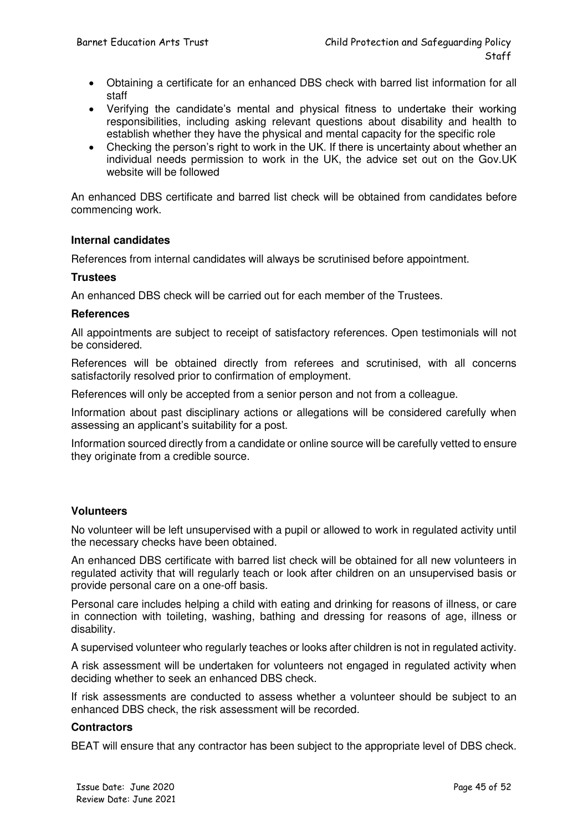- Obtaining a certificate for an enhanced DBS check with barred list information for all staff
- Verifying the candidate's mental and physical fitness to undertake their working responsibilities, including asking relevant questions about disability and health to establish whether they have the physical and mental capacity for the specific role
- Checking the person's right to work in the UK. If there is uncertainty about whether an individual needs permission to work in the UK, the advice set out on the Gov.UK website will be followed

An enhanced DBS certificate and barred list check will be obtained from candidates before commencing work.

#### **Internal candidates**

References from internal candidates will always be scrutinised before appointment.

#### **Trustees**

An enhanced DBS check will be carried out for each member of the Trustees.

#### **References**

All appointments are subject to receipt of satisfactory references. Open testimonials will not be considered.

References will be obtained directly from referees and scrutinised, with all concerns satisfactorily resolved prior to confirmation of employment.

References will only be accepted from a senior person and not from a colleague.

Information about past disciplinary actions or allegations will be considered carefully when assessing an applicant's suitability for a post.

Information sourced directly from a candidate or online source will be carefully vetted to ensure they originate from a credible source.

#### **Volunteers**

No volunteer will be left unsupervised with a pupil or allowed to work in regulated activity until the necessary checks have been obtained.

An enhanced DBS certificate with barred list check will be obtained for all new volunteers in regulated activity that will regularly teach or look after children on an unsupervised basis or provide personal care on a one-off basis.

Personal care includes helping a child with eating and drinking for reasons of illness, or care in connection with toileting, washing, bathing and dressing for reasons of age, illness or disability.

A supervised volunteer who regularly teaches or looks after children is not in regulated activity.

A risk assessment will be undertaken for volunteers not engaged in regulated activity when deciding whether to seek an enhanced DBS check.

If risk assessments are conducted to assess whether a volunteer should be subject to an enhanced DBS check, the risk assessment will be recorded.

#### **Contractors**

BEAT will ensure that any contractor has been subject to the appropriate level of DBS check.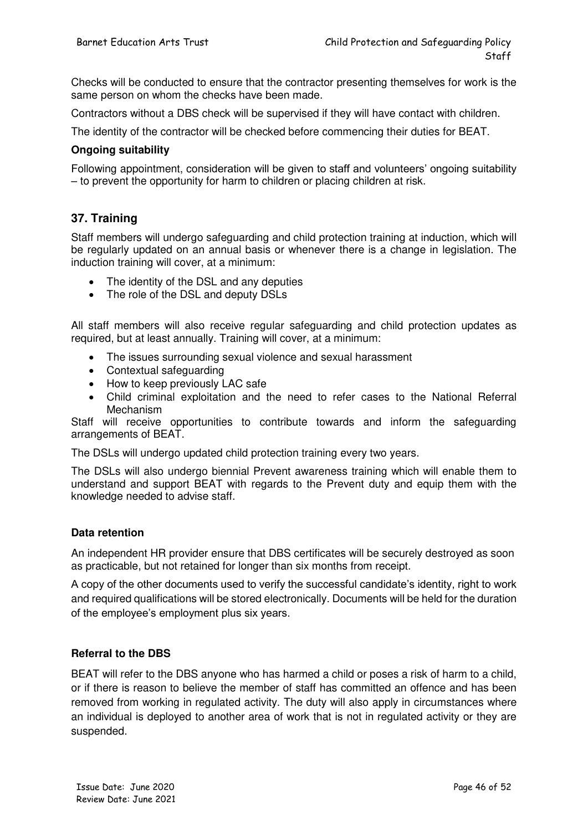Checks will be conducted to ensure that the contractor presenting themselves for work is the same person on whom the checks have been made.

Contractors without a DBS check will be supervised if they will have contact with children.

The identity of the contractor will be checked before commencing their duties for BEAT.

#### **Ongoing suitability**

Following appointment, consideration will be given to staff and volunteers' ongoing suitability – to prevent the opportunity for harm to children or placing children at risk.

#### **37. Training**

Staff members will undergo safeguarding and child protection training at induction, which will be regularly updated on an annual basis or whenever there is a change in legislation. The induction training will cover, at a minimum:

- The identity of the DSL and any deputies
- The role of the DSL and deputy DSLs

All staff members will also receive regular safeguarding and child protection updates as required, but at least annually. Training will cover, at a minimum:

- The issues surrounding sexual violence and sexual harassment
- Contextual safeguarding
- How to keep previously LAC safe
- Child criminal exploitation and the need to refer cases to the National Referral Mechanism

Staff will receive opportunities to contribute towards and inform the safeguarding arrangements of BEAT.

The DSLs will undergo updated child protection training every two years.

The DSLs will also undergo biennial Prevent awareness training which will enable them to understand and support BEAT with regards to the Prevent duty and equip them with the knowledge needed to advise staff.

#### **Data retention**

An independent HR provider ensure that DBS certificates will be securely destroyed as soon as practicable, but not retained for longer than six months from receipt.

A copy of the other documents used to verify the successful candidate's identity, right to work and required qualifications will be stored electronically. Documents will be held for the duration of the employee's employment plus six years.

#### **Referral to the DBS**

BEAT will refer to the DBS anyone who has harmed a child or poses a risk of harm to a child, or if there is reason to believe the member of staff has committed an offence and has been removed from working in regulated activity. The duty will also apply in circumstances where an individual is deployed to another area of work that is not in regulated activity or they are suspended.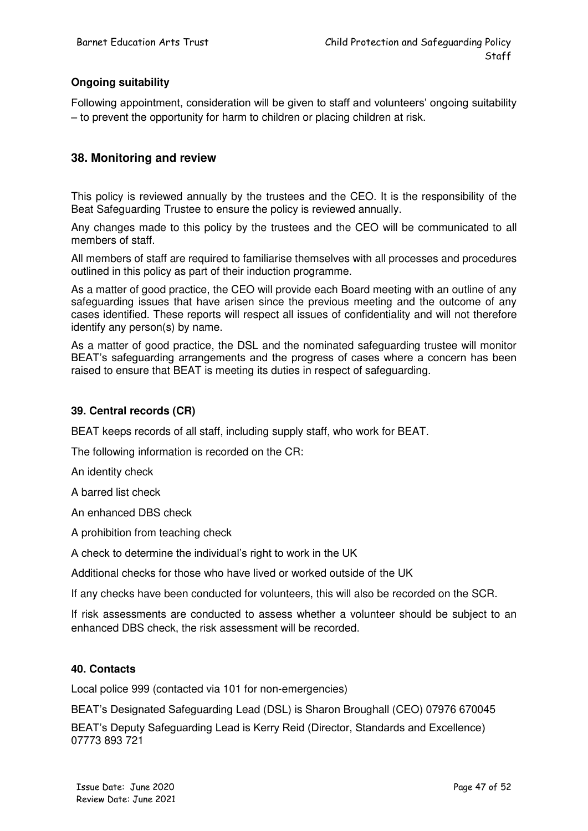#### **Ongoing suitability**

Following appointment, consideration will be given to staff and volunteers' ongoing suitability – to prevent the opportunity for harm to children or placing children at risk.

#### **38. Monitoring and review**

This policy is reviewed annually by the trustees and the CEO. It is the responsibility of the Beat Safeguarding Trustee to ensure the policy is reviewed annually.

Any changes made to this policy by the trustees and the CEO will be communicated to all members of staff.

All members of staff are required to familiarise themselves with all processes and procedures outlined in this policy as part of their induction programme.

As a matter of good practice, the CEO will provide each Board meeting with an outline of any safeguarding issues that have arisen since the previous meeting and the outcome of any cases identified. These reports will respect all issues of confidentiality and will not therefore identify any person(s) by name.

As a matter of good practice, the DSL and the nominated safeguarding trustee will monitor BEAT's safeguarding arrangements and the progress of cases where a concern has been raised to ensure that BEAT is meeting its duties in respect of safeguarding.

#### **39. Central records (CR)**

BEAT keeps records of all staff, including supply staff, who work for BEAT.

The following information is recorded on the CR:

An identity check

A barred list check

An enhanced DBS check

A prohibition from teaching check

A check to determine the individual's right to work in the UK

Additional checks for those who have lived or worked outside of the UK

If any checks have been conducted for volunteers, this will also be recorded on the SCR.

If risk assessments are conducted to assess whether a volunteer should be subject to an enhanced DBS check, the risk assessment will be recorded.

#### **40. Contacts**

Local police 999 (contacted via 101 for non-emergencies)

BEAT's Designated Safeguarding Lead (DSL) is Sharon Broughall (CEO) 07976 670045

BEAT's Deputy Safeguarding Lead is Kerry Reid (Director, Standards and Excellence) 07773 893 721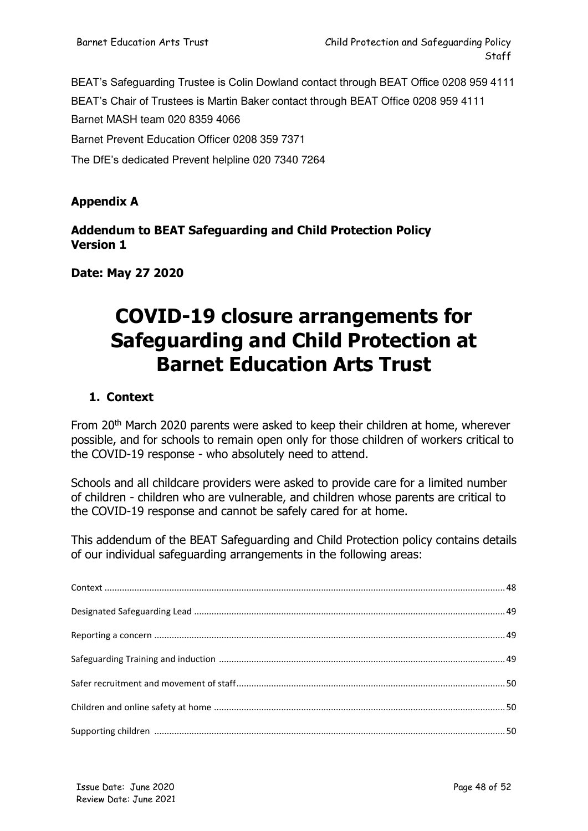BEAT's Safeguarding Trustee is Colin Dowland contact through BEAT Office 0208 959 4111 BEAT's Chair of Trustees is Martin Baker contact through BEAT Office 0208 959 4111 Barnet MASH team 020 8359 4066 Barnet Prevent Education Officer 0208 359 7371 The DfE's dedicated Prevent helpline 020 7340 7264

#### **Appendix A**

#### **Addendum to BEAT Safeguarding and Child Protection Policy Version 1**

**Date: May 27 2020**

## **COVID-19 closure arrangements for Safeguarding and Child Protection at Barnet Education Arts Trust**

#### **1. Context**

From 20<sup>th</sup> March 2020 parents were asked to keep their children at home, wherever possible, and for schools to remain open only for those children of workers critical to the COVID-19 response - who absolutely need to attend.

Schools and all childcare providers were asked to provide care for a limited number of children - children who are vulnerable, and children whose parents are critical to the COVID-19 response and cannot be safely cared for at home.

This addendum of the BEAT Safeguarding and Child Protection policy contains details of our individual safeguarding arrangements in the following areas: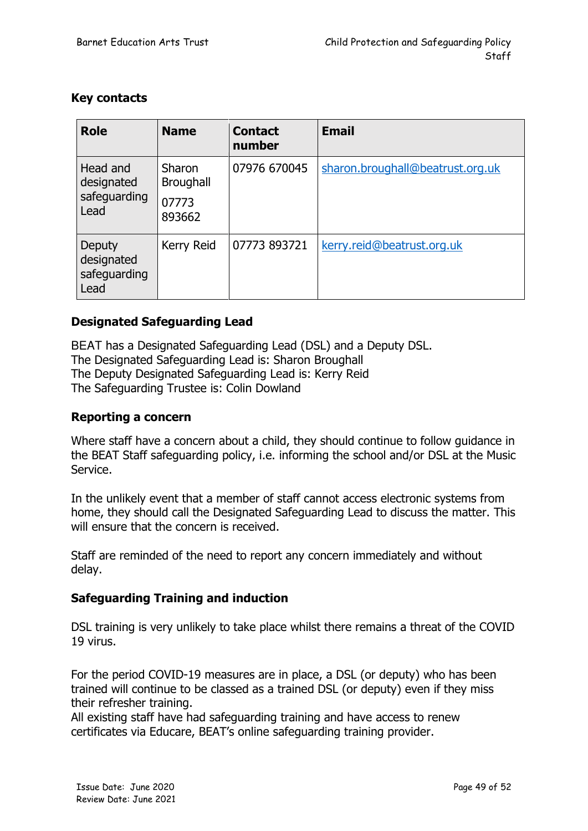#### **Key contacts**

| <b>Role</b>                                    | <b>Name</b>                                   | <b>Contact</b><br>number | <b>Email</b>                     |
|------------------------------------------------|-----------------------------------------------|--------------------------|----------------------------------|
| Head and<br>designated<br>safeguarding<br>Lead | Sharon<br><b>Broughall</b><br>07773<br>893662 | 07976 670045             | sharon.broughall@beatrust.org.uk |
| Deputy<br>designated<br>safeguarding<br>Lead   | Kerry Reid                                    | 07773 893721             | kerry.reid@beatrust.org.uk       |

#### **Designated Safeguarding Lead**

BEAT has a Designated Safeguarding Lead (DSL) and a Deputy DSL. The Designated Safeguarding Lead is: Sharon Broughall The Deputy Designated Safeguarding Lead is: Kerry Reid The Safeguarding Trustee is: Colin Dowland

#### **Reporting a concern**

Where staff have a concern about a child, they should continue to follow guidance in the BEAT Staff safeguarding policy, i.e. informing the school and/or DSL at the Music Service.

In the unlikely event that a member of staff cannot access electronic systems from home, they should call the Designated Safeguarding Lead to discuss the matter. This will ensure that the concern is received.

Staff are reminded of the need to report any concern immediately and without delay.

#### **Safeguarding Training and induction**

DSL training is very unlikely to take place whilst there remains a threat of the COVID 19 virus.

For the period COVID-19 measures are in place, a DSL (or deputy) who has been trained will continue to be classed as a trained DSL (or deputy) even if they miss their refresher training.

All existing staff have had safeguarding training and have access to renew certificates via Educare, BEAT's online safeguarding training provider.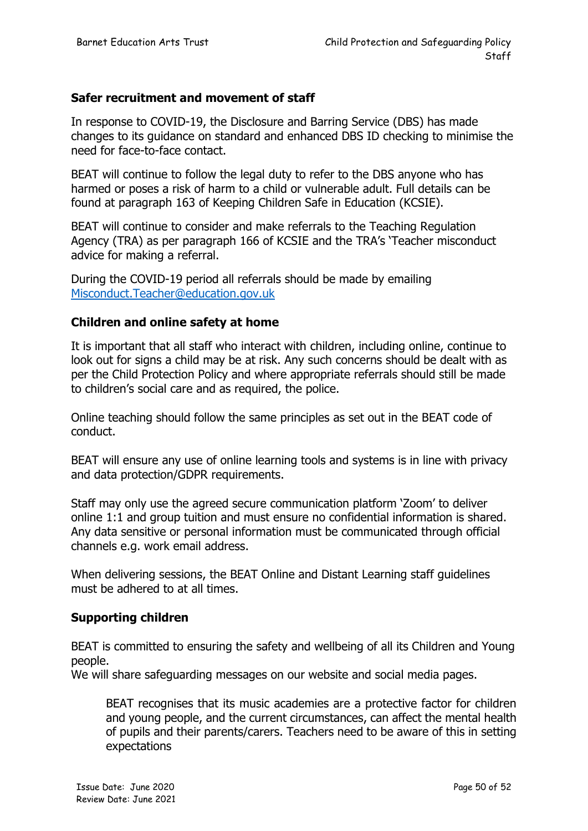#### **Safer recruitment and movement of staff**

In response to COVID-19, the Disclosure and Barring Service (DBS) has made changes to its guidance on standard and enhanced DBS ID checking to minimise the need for face-to-face contact.

BEAT will continue to follow the legal duty to refer to the DBS anyone who has harmed or poses a risk of harm to a child or vulnerable adult. Full details can be found at paragraph 163 of Keeping Children Safe in Education (KCSIE).

BEAT will continue to consider and make referrals to the Teaching Regulation Agency (TRA) as per paragraph 166 of KCSIE and the TRA's 'Teacher misconduct advice for making a referral.

During the COVID-19 period all referrals should be made by emailing [Misconduct.Teacher@education.gov.uk](mailto:Misconduct.Teacher@education.gov.uk)

#### **Children and online safety at home**

It is important that all staff who interact with children, including online, continue to look out for signs a child may be at risk. Any such concerns should be dealt with as per the Child Protection Policy and where appropriate referrals should still be made to children's social care and as required, the police.

Online teaching should follow the same principles as set out in the BEAT code of conduct.

BEAT will ensure any use of online learning tools and systems is in line with privacy and data protection/GDPR requirements.

Staff may only use the agreed secure communication platform 'Zoom' to deliver online 1:1 and group tuition and must ensure no confidential information is shared. Any data sensitive or personal information must be communicated through official channels e.g. work email address.

When delivering sessions, the BEAT Online and Distant Learning staff guidelines must be adhered to at all times.

#### **Supporting children**

BEAT is committed to ensuring the safety and wellbeing of all its Children and Young people.

We will share safeguarding messages on our website and social media pages.

BEAT recognises that its music academies are a protective factor for children and young people, and the current circumstances, can affect the mental health of pupils and their parents/carers. Teachers need to be aware of this in setting expectations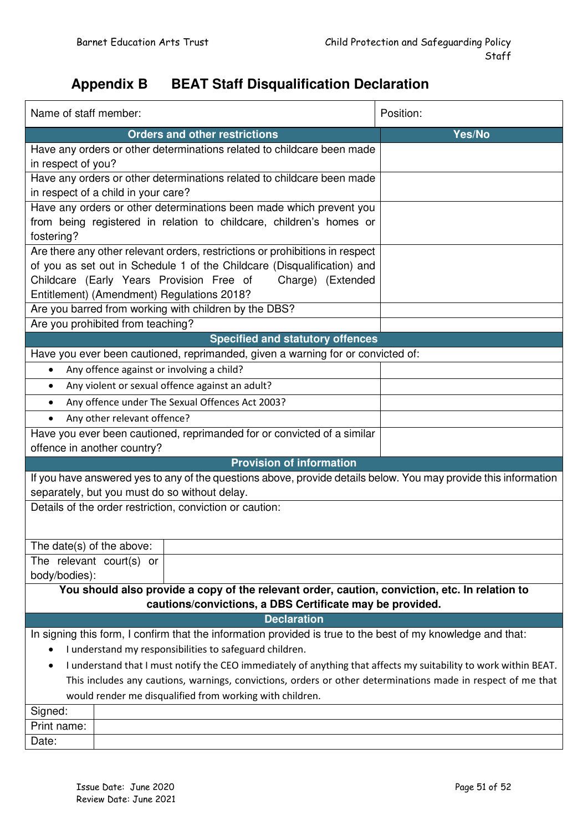### **Appendix B BEAT Staff Disqualification Declaration**

| Name of staff member:                                                                                                                                                                                                                                                  |                                                          | Position:                                                                       |                                                                                                                 |  |  |
|------------------------------------------------------------------------------------------------------------------------------------------------------------------------------------------------------------------------------------------------------------------------|----------------------------------------------------------|---------------------------------------------------------------------------------|-----------------------------------------------------------------------------------------------------------------|--|--|
|                                                                                                                                                                                                                                                                        | <b>Orders and other restrictions</b>                     |                                                                                 | Yes/No                                                                                                          |  |  |
| Have any orders or other determinations related to childcare been made<br>in respect of you?                                                                                                                                                                           |                                                          |                                                                                 |                                                                                                                 |  |  |
| Have any orders or other determinations related to childcare been made<br>in respect of a child in your care?                                                                                                                                                          |                                                          |                                                                                 |                                                                                                                 |  |  |
| Have any orders or other determinations been made which prevent you<br>from being registered in relation to childcare, children's homes or<br>fostering?                                                                                                               |                                                          |                                                                                 |                                                                                                                 |  |  |
| Are there any other relevant orders, restrictions or prohibitions in respect<br>of you as set out in Schedule 1 of the Childcare (Disqualification) and<br>Childcare (Early Years Provision Free of<br>Charge) (Extended<br>Entitlement) (Amendment) Regulations 2018? |                                                          |                                                                                 |                                                                                                                 |  |  |
|                                                                                                                                                                                                                                                                        | Are you barred from working with children by the DBS?    |                                                                                 |                                                                                                                 |  |  |
|                                                                                                                                                                                                                                                                        | Are you prohibited from teaching?                        |                                                                                 |                                                                                                                 |  |  |
|                                                                                                                                                                                                                                                                        |                                                          | <b>Specified and statutory offences</b>                                         |                                                                                                                 |  |  |
|                                                                                                                                                                                                                                                                        |                                                          | Have you ever been cautioned, reprimanded, given a warning for or convicted of: |                                                                                                                 |  |  |
| $\bullet$                                                                                                                                                                                                                                                              | Any offence against or involving a child?                |                                                                                 |                                                                                                                 |  |  |
| $\bullet$                                                                                                                                                                                                                                                              | Any violent or sexual offence against an adult?          |                                                                                 |                                                                                                                 |  |  |
| ٠                                                                                                                                                                                                                                                                      | Any offence under The Sexual Offences Act 2003?          |                                                                                 |                                                                                                                 |  |  |
|                                                                                                                                                                                                                                                                        | Any other relevant offence?                              |                                                                                 |                                                                                                                 |  |  |
|                                                                                                                                                                                                                                                                        |                                                          | Have you ever been cautioned, reprimanded for or convicted of a similar         |                                                                                                                 |  |  |
|                                                                                                                                                                                                                                                                        | offence in another country?                              |                                                                                 |                                                                                                                 |  |  |
|                                                                                                                                                                                                                                                                        |                                                          | <b>Provision of information</b>                                                 |                                                                                                                 |  |  |
|                                                                                                                                                                                                                                                                        | separately, but you must do so without delay.            |                                                                                 | If you have answered yes to any of the questions above, provide details below. You may provide this information |  |  |
|                                                                                                                                                                                                                                                                        | Details of the order restriction, conviction or caution: |                                                                                 |                                                                                                                 |  |  |
|                                                                                                                                                                                                                                                                        |                                                          |                                                                                 |                                                                                                                 |  |  |
| The date(s) of the above:                                                                                                                                                                                                                                              |                                                          |                                                                                 |                                                                                                                 |  |  |
| The relevant court(s) or<br>body/bodies):                                                                                                                                                                                                                              |                                                          |                                                                                 |                                                                                                                 |  |  |
| You should also provide a copy of the relevant order, caution, conviction, etc. In relation to                                                                                                                                                                         |                                                          |                                                                                 |                                                                                                                 |  |  |
| cautions/convictions, a DBS Certificate may be provided.                                                                                                                                                                                                               |                                                          |                                                                                 |                                                                                                                 |  |  |
| <b>Declaration</b>                                                                                                                                                                                                                                                     |                                                          |                                                                                 |                                                                                                                 |  |  |
| In signing this form, I confirm that the information provided is true to the best of my knowledge and that:                                                                                                                                                            |                                                          |                                                                                 |                                                                                                                 |  |  |
| I understand my responsibilities to safeguard children.                                                                                                                                                                                                                |                                                          |                                                                                 |                                                                                                                 |  |  |
| I understand that I must notify the CEO immediately of anything that affects my suitability to work within BEAT.<br>٠                                                                                                                                                  |                                                          |                                                                                 |                                                                                                                 |  |  |
| This includes any cautions, warnings, convictions, orders or other determinations made in respect of me that                                                                                                                                                           |                                                          |                                                                                 |                                                                                                                 |  |  |
| would render me disqualified from working with children.                                                                                                                                                                                                               |                                                          |                                                                                 |                                                                                                                 |  |  |
| Signed:                                                                                                                                                                                                                                                                |                                                          |                                                                                 |                                                                                                                 |  |  |
| Print name:                                                                                                                                                                                                                                                            |                                                          |                                                                                 |                                                                                                                 |  |  |
| Date:                                                                                                                                                                                                                                                                  |                                                          |                                                                                 |                                                                                                                 |  |  |